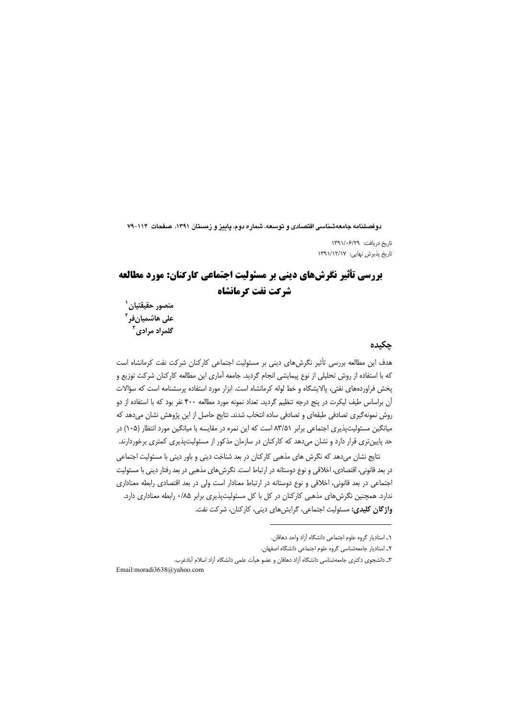دوفصلنامه جامعهشناسی اقتصادی و توسعه، شماره دوم، پاییز و زمستان ۱۳۹۱، صفحات ۱۱۴–۷۹

تاریخ دریافت: ۱۳۹۱/۰۶/۲۹ تاریخ پذیرش نهایی: ۱۳۹۱/۱۲/۱۷

# **بررسی تأثیر نگرشهای دینی بر مسئولیت اجتماعی کارکنان: مورد مطالعه** شركت نفت كرمانشاه

منصور حقيقتيان ` على هاشميانفر<sup>۲</sup> گلمراد مرادی<sup>۲</sup>

### حكىدە

هدف این مطالعه بررسی تأثیر نگرش های دینی بر مسئولیت اجتماعی کارکنان شرکت نفت کرمانشاه است که با استفاده از روش تحلیلی از نوع پیمایشی انجام گردید. جامعه آماری این مطالعه کارکنان شرکت توزیع و یخش فراوردههای نفتی، پالایشگاه و خط لوله کرمانشاه است. ابزار مورد استفاده پرسشنامه است که سؤالات آن براساس طیف لیکرت در پنج درجه تنظیم گردید. تعداد نمونه مورد مطالعه ۴۰۰ نفر بود که با استفاده از دو روش نمونه گیری تصادفی طبقهای و تصادفی ساده انتخاب شدند. نتایج حاصل از این پژوهش نشان میدهد که میانگین مسئولیت پذیری اجتماعی برابر ۸۳/۵۱ است که این نمره در مقایسه با میانگین مورد انتظار (۱۰۵) در حد پایینتری قرار دارد و نشان میدهد که کارکنان در سازمان مذکور از مسئولیتپذیری کمتری برخوردارند.

نتایج نشان می دهد که نگرش های مذهبی کارکنان در بعد شناخت دینی و باور دینی با مسئولیت اجتماعی در بعد قانونی، اقتصادی، اخلاقی و نوع دوستانه در ارتباط است. نگرشهای مذهبی در بعد رفتار دینی با مسئولیت اجتماعی در بعد قانونی، اخلاقی و نوع دوستانه در ارتباط معنادار است ولی در بعد اقتصادی رابطه معناداری ندارد. همچنین نگرشهای مذهبی کارکنان در کل با کل مسئولیتپذیری برابر ۰/۸۵ رابطه معناداری دارد. واژگان کلیدی: مسئولیت اجتماعی، گرایش های دینی، کارکنان، شرکت نفت.

١ـ استاديار گروه علوم اجتماعي دانشگاه آزاد واحد دهاقان.

٢ـ استادیار جامعهشناسی گروه علوم اجتماعی دانشگاه اصفهان.

٣ـ دانشجوی دکتری جامعهشناسی دانشگاه آزاد دهاقان و عضو هیأت علمی دانشگاه آزاد اسلام آبادغرب.

Email:moradi3638@yahoo.com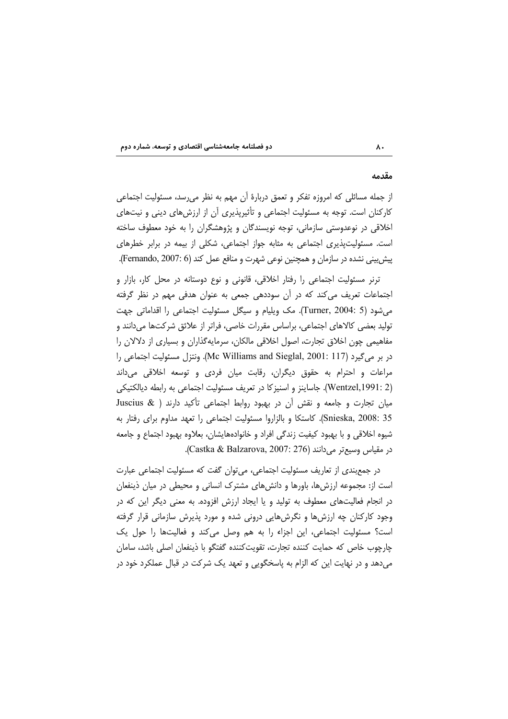#### مقدمه

از جمله مسائلی که امروزه تفکر و تعمق دربارهٔ آن مهم به نظر میرسد، مسئولیت اجتماعی کارکنان است. توجه به مسئولیت اجتماعی و تأثیریذیری آن از ارزش های دینی و نیتهای اخلاقی در نوعدوستی سازمانی، توجه نویسندگان و پژوهشگران را به خود معطوف ساخته است. مسئولیتپذیری اجتماعی به مثابه جواز اجتماعی، شکلی از بیمه در برابر خطرهای پیش بینی نشده در سازمان و همچنین نوعی شهرت و منافع عمل کند (Fernando, 2007: 6).

ترنر مسئولیت اجتماعی را رفتار اخلاقی، قانونی و نوع دوستانه در محل کار، بازار و اجتماعات تعریف می کند که در آن سوددهی جمعی به عنوان هدفی مهم در نظر گرفته می شود (Turner, 2004: 5). مک ویلیام و سیگل مسئولیت اجتماعی را اقداماتی جهت تولید بعضی کالاهای اجتماعی، براساس مقررات خاصی، فراتر از علائق شرکتها میدانند و مفاهیمی چون اخلاق تجارت، اصول اخلاقی مالکان، سرمایهگذاران و بسیاری از دلالان را در بر می گیرد (Mc Williams and Sieglal, 2001: 117). ونتزل مسئولیت اجتماعی را مراعات و احترام به حقوق دیگران، رقابت میان فردی و توسعه اخلاقی میداند (Wentzel,1991: 2). جاساینز و اسنیز کا در تعریف مسئولیت اجتماعی به رابطه دیالکتیکی میان تجارت و جامعه و نقش آن در بهبود روابط اجتماعی تأکید دارند ( Juscius & Snieska, 2008: 35). كاستكا و بالزاروا مسئوليت اجتماعي را تعهد مداوم براي رفتار به شیوه اخلاقی و با بهبود کیفیت زندگی افراد و خانوادههایشان، بعلاوه بهبود اجتماع و جامعه در مقياس وسيعتر مي دانند (Castka & Balzarova, 2007: 276).

در جمع بندی از تعاریف مسئولیت اجتماعی، می توان گفت که مسئولیت اجتماعی عبارت است از: مجموعه ارزشها، باورها و دانشهای مشترک انسانی و محیطی در میان ذینفعان در انجام فعالیتهای معطوف به تولید و یا ایجاد ارزش افزوده. به معنی دیگر این که در وجود کارکنان چه ارزشها و نگرشهایی درونی شده و مورد پذیرش سازمانی قرار گرفته است؟ مسئوليت اجتماعي، اين اجزاء را به هم وصل مي كند و فعاليتها را حول يك چارچوب خاص که حمایت کننده تجارت، تقویتکننده گفتگو با ذینفعان اصلی باشد، سامان میدهد و در نهایت این که الزام به پاسخگویی و تعهد یک شرکت در قبال عملکرد خود در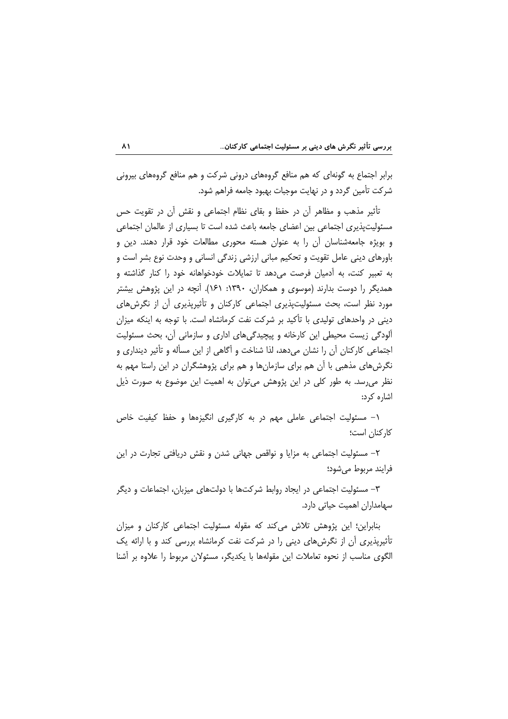برابر اجتماع به گونهای که هم منافع گروههای درونی شرکت و هم منافع گروههای بیرونی شركت تأمين گردد و در نهايت موجبات بهبود جامعه فراهم شود.

تأثیر مذهب و مظاهر آن در حفظ و بقای نظام اجتماعی و نقش آن در تقویت حس مسئولیتپذیری اجتماعی بین اعضای جامعه باعث شده است تا بسیاری از عالمان اجتماعی و بویژه جامعهشناسان آن را به عنوان هسته محوری مطالعات خود قرار دهند. دین و باورهای دینی عامل تقویت و تحکیم مبانی ارزشی زندگی انسانی و وحدت نوع بشر است و به تعبیر کنت، به آدمیان فرصت میدهد تا تمایلات خودخواهانه خود را کنار گذاشته و همدیگر را دوست بدارند (موسوی و همکاران، ۱۳۹۰: ۱۶۱). آنچه در این پژوهش بیشتر مورد نظر است، بحث مسئولیتپذیری اجتماعی کارکنان و تأثیرپذیری آن از نگرش های دینی در واحدهای تولیدی با تأکید بر شرکت نفت کرمانشاه است. با توجه به اینکه میزان آلودگی زیست محیطی این کارخانه و پیچیدگیهای اداری و سازمانی آن، بحث مسئولیت اجتماعی کارکنان آن را نشان میدهد، لذا شناخت و آگاهی از این مسأله و تأثیر دینداری و نگرشهای مذهبی با آن هم برای سازمانها و هم برای پژوهشگران در این راستا مهم به نظر می رسد. به طور کلی در این پژوهش می توان به اهمیت این موضوع به صورت ذیل اشاره کرد:

۱– مسئولیت اجتماعی عاملی مهم در به کارگیری انگیزهها و حفظ کیفیت خاص كاركنان است؛

٢- مسئوليت اجتماعي به مزايا و نواقص جهاني شدن و نقش دريافتي تجارت در اين فرايند مربوط مي شود؛

۳– مسئولیت اجتماعی در ایجاد روابط شرکتها با دولتهای میزبان، اجتماعات و دیگر سهامداران اهمیت حیاتی دارد.

بنابراین؛ این پژوهش تلاش می کند که مقوله مسئولیت اجتماعی کارکنان و میزان تأثیرپذیری آن از نگرش های دینی را در شرکت نفت کرمانشاه بررسی کند و با ارائه یک الگوی مناسب از نحوه تعاملات این مقولهها با یکدیگر، مسئولان مربوط را علاوه بر آشنا

 $\lambda$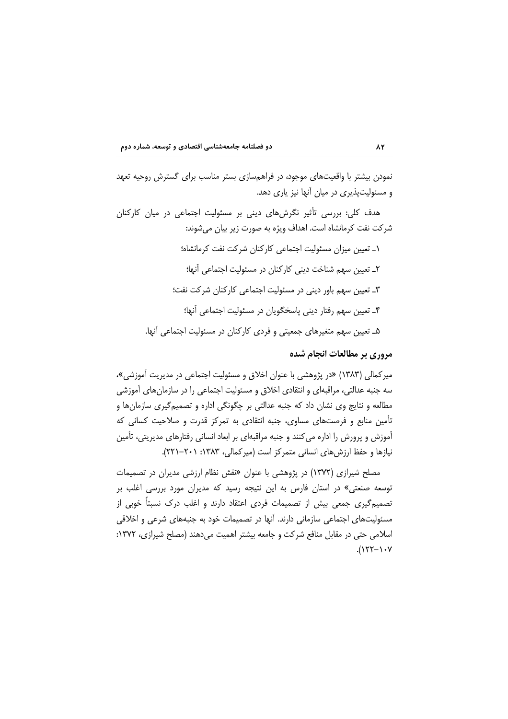نمودن بیشتر با واقعیتهای موجود، در فراهمسازی بستر مناسب برای گسترش روحیه تعهد و مسئولیتیذیری در میان آنها نیز یاری دهد.

هدف کلی: بررسی تأثیر نگرشهای دینی بر مسئولیت اجتماعی در میان کارکنان شركت نفت كرمانشاه است. اهداف ويژه به صورت زير بيان ميشوند:

> ۱ـ تعیین میزان مسئولیت اجتماعی کارکنان شرکت نفت کرمانشاه؛ ۲\_ تعیین سهم شناخت دینی کارکنان در مسئولیت اجتماعی آنها؛ ۳ـ تعیین سهم باور دینی در مسئولیت اجتماعی کارکنان شرکت نفت؛ ۴ـ تعیین سهم رفتار دینی پاسخگویان در مسئولیت اجتماعی آنها؛ ۵ـ تعیین سهم متغیرهای جمعیتی و فردی کارکنان در مسئولیت اجتماعی آنها.

### مروری بر مطالعات انجام شده

میر کمالی (۱۳۸۳) «در پژوهشی با عنوان اخلاق و مسئولیت اجتماعی در مدیریت آموزشی»، سه جنبه عدالتي، مراقبهاي و انتقادي اخلاق و مسئوليت اجتماعي را در سازمان هاي آموزشي مطالعه و نتایج وی نشان داد که جنبه عدالتی بر چگونگی اداره و تصمیمگیری سازمان ها و تأمین منابع و فرصتهای مساوی، جنبه انتقادی به تمرکز قدرت و صلاحیت کسانی که آموزش و پرورش را اداره می کنند و جنبه مراقبهای بر ابعاد انسانی رفتارهای مدیریتی، تأمین نیازها و حفظ ارزش های انسانی متمرکز است (میرکمالی، ۱۳۸۳: ۲۰۱–۲۲۱).

مصلح شیرازی (۱۳۷۲) در پژوهشی با عنوان «نقش نظام ارزشی مدیران در تصمیمات توسعه صنعتی» در استان فارس به این نتیجه رسید که مدیران مورد بررسی اغلب بر تصمیم گیری جمعی بیش از تصمیمات فردی اعتقاد دارند و اغلب درک نسبتاً خوبی از مسئولیتهای اجتماعی سازمانی دارند. آنها در تصمیمات خود به جنبههای شرعی و اخلاقی اسلامی حتی در مقابل منافع شرکت و جامعه بیشتر اهمیت میدهند (مصلح شیرازی، ۱۳۷۲:  $(157-1.4)$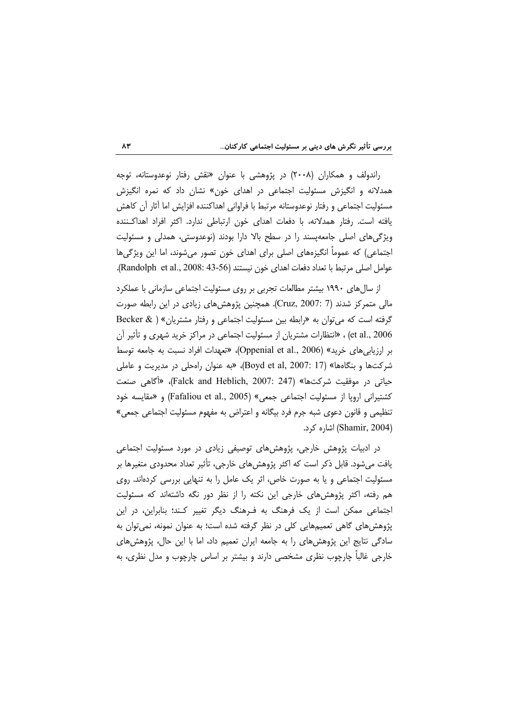راندولف و همکاران (۲۰۰۸) در پژوهشی با عنوان «نقش رفتار نوعدوستانه، توجه همدلانه و انگیزش مسئولیت اجتماعی در اهدای خون» نشان داد که نمره انگیزش مسئوليت اجتماعي و رفتار نوعدوستانه مرتبط با فراواني اهداكننده افزايش اما أثار أن كاهش یافته است. رفتار همدلانه، با دفعات اهدای خون ارتباطی ندارد. اکثر افراد اهداکـننده ویژگیهای اصلی جامعهیسند را در سطح بالا دارا بودند (نوعدوستی، همدلی و مسئولیت اجتماعی) که عموماً انگیزههای اصلی برای اهدای خون تصور میشوند، اما این ویژگیها عوامل اصلي مرتبط با تعداد دفعات اهداي خون نيستند (Randolph et al., 2008: 43-56).

از سال های ۱۹۹۰ بیشتر مطالعات تجربی بر روی مسئولیت اجتماعی سازمانی با عملکرد مالی متمرکز شدند (Cruz, 2007: 7). همچنین پژوهش های زیادی در این رابطه صورت گرفته است که می توان به «رابطه بین مسئولیت اجتماعی و رفتار مشتریان» ( & Becker et al., 2006) ، «انتظارات مشتریان از مسئولیت اجتماعی در مراکز خرید شهری و تأثیر آن بر ارزیابی های خرید» (Oppenial et al., 2006)، «تعهدات افراد نسبت به جامعه توسط شركتها و بنگاهها» (Boyd et al, 2007: 17)، «به عنوان راهحلي در مديريت و عاملي حياتي در موفقيت شركتها» (Falck and Heblich, 2007: 247)، «أكاهي صنعت كشتيراني ارويا از مسئوليت اجتماعي جمعي» (Fafaliou et al., 2005) و «مقايسه خود تنظیمی و قانون دعوی شبه جرم فرد بیگانه و اعتراض به مفهوم مسئولیت اجتماعی جمعی» (Shamir, 2004) اشاره کرد.

در ادبیات پژوهش خارجی، پژوهشهای توصیفی زیادی در مورد مسئولیت اجتماعی یافت میشود. قابل ذکر است که اکثر پژوهشهای خارجی، تأثیر تعداد محدودی متغیرها بر مسئولیت اجتماعی و یا به صورت خاص، اثر یک عامل را به تنهایی بررسی کردهاند. روی هم رفته، اکثر پژوهشهای خارجی این نکته را از نظر دور نگه داشتهاند که مسئولیت اجتماعی ممکن است از یک فرهنگ به فـرهنگ دیگر تغییر کـند؛ بنابراین، در این پژوهش های گاهی تعمیمهایی کلی در نظر گرفته شده است؛ به عنوان نمونه، نمی توان به سادگی نتایج این پژوهش های را به جامعه ایران تعمیم داد، اما با این حال، پژوهش های خارجی غالباً چارچوب نظری مشخصی دارند و بیشتر بر اساس چارچوب و مدل نظری، به

 $\Lambda$ ۳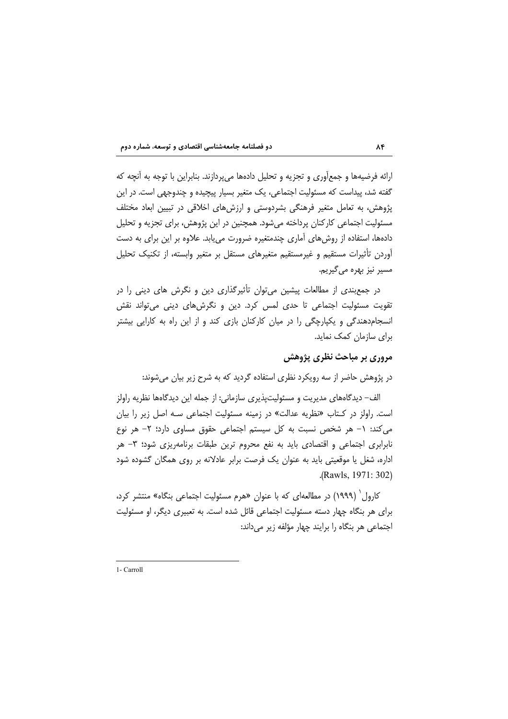ارائه فرضیهها و جمعآوری و تجزیه و تحلیل دادهها می پردازند. بنابراین با توجه به آنچه که گفته شد، پیداست که مسئولیت اجتماعی، یک متغیر بسیار پیچیده و چندوجهی است. در این پژوهش، به تعامل متغیر فرهنگی بشردوستی و ارزشهای اخلاقی در تبیین ابعاد مختلف مسئولیت اجتماعی کارکنان پرداخته میشود. همچنین در این پژوهش، برای تجزیه و تحلیل دادهها، استفاده از روشهای آماری چندمتغیره ضرورت می یابد. علاوه بر این برای به دست آوردن تأثیرات مستقیم و غیرمستقیم متغیرهای مستقل بر متغیر وابسته، از تکنیک تحلیل مسیر نیز بھرہ مے گیریم.

در جمع بندی از مطالعات پیشین می توان تأثیرگذاری دین و نگرش های دینی را در تقویت مسئولیت اجتماعی تا حدی لمس کرد. دین و نگرشهای دینی می تواند نقش انسجام دهندگی و یکپارچگی را در میان کارکنان بازی کند و از این راه به کارایی بیشتر برای سازمان کمک نماید.

### مروری بر مباحث نظری پژوهش

در پژوهش حاضر از سه رویکرد نظری استفاده گردید که به شرح زیر بیان میشوند:

الف– دیدگاههای مدیریت و مسئولیتپذیری سازمانی: از جمله این دیدگاهها نظریه راولز است. راولز در کـتاب «نظریه عدالت» در زمینه مسئولیت اجتماعی سـه اصل زیر را بیان می کند: ١- هر شخص نسبت به کل سیستم اجتماعی حقوق مساوی دارد؛ ٢- هر نوع نابرابری اجتماعی و اقتصادی باید به نفع محروم ترین طبقات برنامهریزی شود؛ ۳– هر اداره، شغل یا موقعیتی باید به عنوان یک فرصت برابر عادلانه بر روی همگان گشوده شود .(Rawls, 1971: 302)

کارول (۱۹۹۹) در مطالعهای که با عنوان «هرم مسئولیت اجتماعی بنگاه» منتشر کرد، برای هر بنگاه چهار دسته مسئولیت اجتماعی قائل شده است. به تعبیری دیگر، او مسئولیت اجتماعی هر بنگاه را برایند چهار مؤلفه زیر میداند:

1- Carroll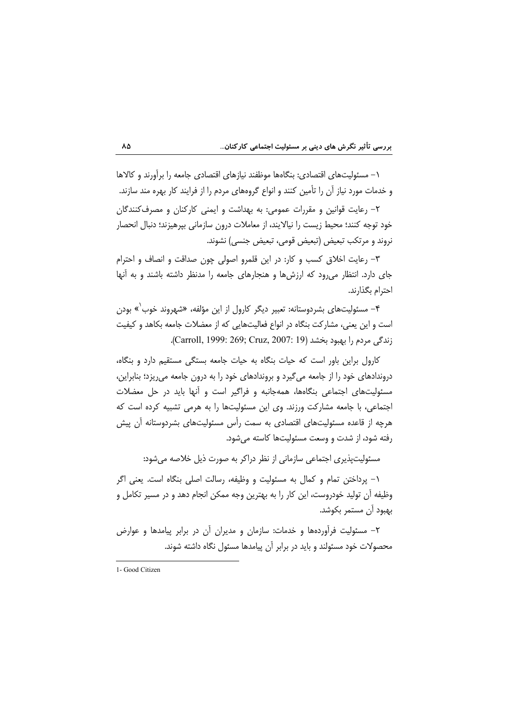۱– مسئولیتهای اقتصادی: بنگاهها موظفند نیازهای اقتصادی جامعه را برآورند و کالاها و خدمات مورد نیاز آن را تأمین کنند و انواع گروههای مردم را از فرایند کار بهره مند سازند.

۲- رعایت قوانین و مقررات عمومی: به بهداشت و ایمنی کارکنان و مصرف کنندگان خود توجه كنند؛ محيط زيست را نيالايند، از معاملات درون سازماني بيرهيزند؛ دنبال انحصار نروند و مرتکب تبعیض (تبعیض قومی، تبعیض جنسی) نشوند.

٣- رعايت اخلاق كسب و كار: در اين قلمرو اصولى چون صداقت و انصاف و احترام جای دارد. انتظار می رود که ارزشها و هنجارهای جامعه را مدنظر داشته باشند و به آنها احترام بگذارند.

۴- مسئولیتهای بشردوستانه: تعبیر دیگر کارول از این مؤلفه، «شهروند خوب<sup>٬</sup>» بودن است و این یعنی، مشارکت بنگاه در انواع فعالیتهایی که از معضلات جامعه بکاهد و کیفیت زندگی مردم را بهبود بخشد (Carroll, 1999: 269; Cruz, 2007: 19).

کارول براین باور است که حیات بنگاه به حیات جامعه بستگی مستقیم دارد و بنگاه، دروندادهای خود را از جامعه میگیرد و بروندادهای خود را به درون جامعه میریزد؛ بنابراین، مسئولیتهای اجتماعی بنگاهها، همهجانبه و فراگیر است و آنها باید در حل معضلات اجتماعی، با جامعه مشارکت ورزند. وی این مسئولیتها را به هرمی تشبیه کرده است که هرچه از قاعده مسئولیتهای اقتصادی به سمت رأس مسئولیتهای بشردوستانه آن پیش رفته شود، از شدت و وسعت مسئولیتها کاسته می شود.

مسئولیت پذیری اجتماعی سازمانی از نظر دراکر به صورت ذیل خلاصه می شود:

١- پرداختن تمام و كمال به مسئوليت و وظيفه، رسالت اصلى بنگاه است. يعنى اگر وظیفه آن تولید خودروست، این کار را به بهترین وجه ممکن انجام دهد و در مسیر تکامل و بهبود آن مستمر بكوشد.

۲- مسئولیت فرآوردهها و خدمات: سازمان و مدیران آن در برابر پیامدها و عوارض محصولات خود مسئولند و باید در برابر آن پیامدها مسئول نگاه داشته شوند.

٨Δ

<sup>1-</sup> Good Citizen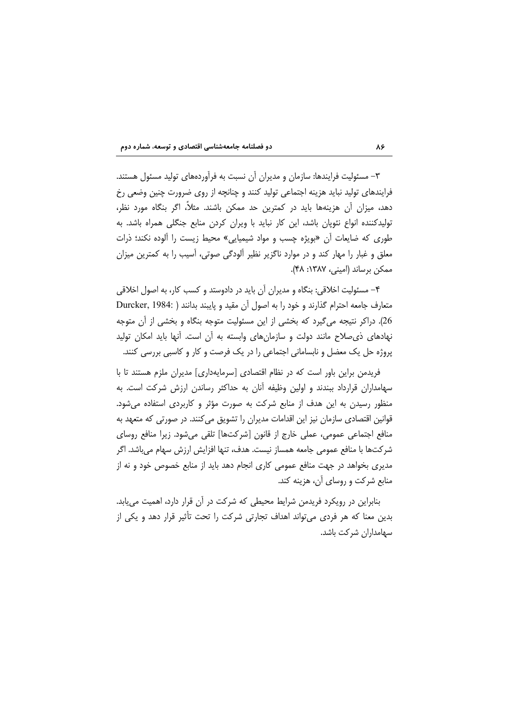۳– مسئولیت فرایندها: سازمان و مدیران آن نسبت به فرآوردههای تولید مسئول هستند. فرایندهای تولید نباید هزینه اجتماعی تولید کنند و چنانچه از روی ضرورت چنین وضعی رخ دهد، میزان آن هزینهها باید در کمترین حد ممکن باشند. مثلاً، اگر بنگاه مورد نظر، تولیدکننده انواع نئویان باشد، این کار نباید با ویران کردن منابع جنگلی همراه باشد. به طوری که ضایعات آن «بویژه چسب و مواد شیمیایی» محیط زیست را آلوده نکند؛ ذرات معلق و غبار را مهار کند و در موارد ناگزیر نظیر ألودگی صوتی، آسیب را به کمترین میزان ممكن برساند (اميني، ١٣٨٧: ۴٨).

۴– مسئولیت اخلاقی: بنگاه و مدیران آن باید در دادوستد و کسب کار، به اصول اخلاقی متعارف جامعه احترام گذارند و خود را به اصول آن مقید و پایبند بدانند ( :Durcker, 1984 26). دراکر نتیجه می گیرد که بخشی از این مسئولیت متوجه بنگاه و بخشی از آن متوجه نهادهای ذی صلاح مانند دولت و سازمانهای وابسته به أن است. أنها باید امکان تولید پروژه حل یک معضل و نابسامانی اجتماعی را در یک فرصت و کار و کاسبی بررسی کنند.

فریدمن براین باور است که در نظام اقتصادی [سرمایهداری] مدیران ملزم هستند تا با سهامداران قرارداد ببندند و اولین وظیفه آنان به حداکثر رساندن ارزش شرکت است. به منظور رسیدن به این هدف از منابع شرکت به صورت مؤثر و کاربردی استفاده می شود. قوانین اقتصادی سازمان نیز این اقدامات مدیران را تشویق می کنند. در صورتی که متعهد به منافع اجتماعی عمومی، عملی خارج از قانون [شرکتها] تلقی میشود. زیرا منافع روسای شركتها با منافع عمومي جامعه همساز نيست. هدف، تنها افزايش ارزش سهام ميباشد. اگر مدیری بخواهد در جهت منافع عمومی کاری انجام دهد باید از منابع خصوص خود و نه از منابع شرکت و روسای آن، هزینه کند.

بنابراین در رویکرد فریدمن شرایط محیطی که شرکت در آن قرار دارد، اهمیت می یابد. بدین معنا که هر فردی می تواند اهداف تجارتی شرکت را تحت تأثیر قرار دهد و یکی از سهامداران شركت باشد.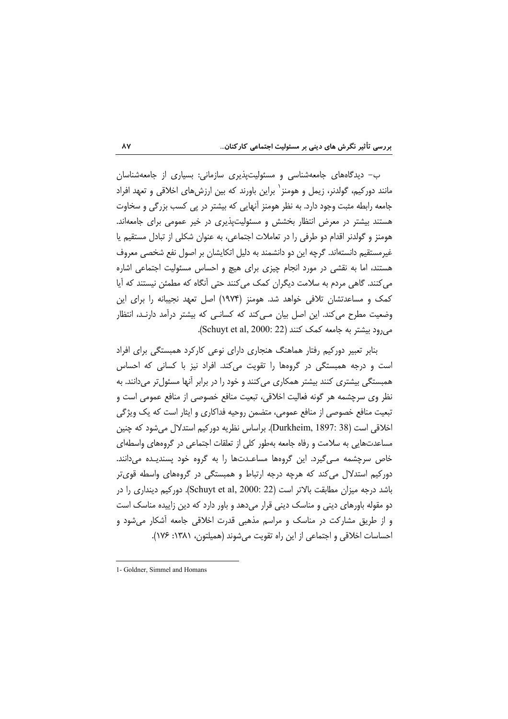ب- دیدگاههای جامعهشناسی و مسئولیتپذیری سازمانی: بسیاری از جامعهشناسان مانند دورکیم، گولدنر، زیمل و هومنز` براین باورند که بین ارزشهای اخلاقی و تعهد افراد جامعه رابطه مثبت وجود دارد. به نظر هومنز آنهایی که بیشتر در پی کسب بزرگی و سخاوت هستند بیشتر در معرض انتظار بخشش و مسئولیتپذیری در خیر عمومی برای جامعهاند. هومنز و گولدنر اقدام دو طرفی را در تعاملات اجتماعی، به عنوان شکلی از تبادل مستقیم یا غیرمستقیم دانستهاند. گرچه این دو دانشمند به دلیل اتکایشان بر اصول نفع شخصی معروف هستند، اما به نقشی در مورد انجام چیزی برای هیچ و احساس مسئولیت اجتماعی اشاره می کنند. گاهی مردم به سلامت دیگران کمک میکنند حتی آنگاه که مطمئن نیستند که آیا کمک و مساعدتشان تلافی خواهد شد. هومنز (۱۹۷۴) اصل تعهد نجیبانه را برای این وضعیت مطرح می کند. این اصل بیان مے کند که کسانے که بیشتر درآمد دارنـد، انتظار می رود بیشتر به جامعه کمک کنند (Schuyt et al, 2000: 22).

بنابر تعبیر دورکیم رفتار هماهنگ هنجاری دارای نوعی کارکرد همبستگی برای افراد است و درجه همبستگی در گروهها را تقویت میکند. افراد نیز با کسانی که احساس همبستگی بیشتری کنند بیشتر همکاری میکنند و خود را در برابر آنها مسئولتر میدانند. به نظر وي سرچشمه هر گونه فعاليت اخلاقي، تبعيت منافع خصوصي از منافع عمومي است و تبعیت منافع خصوصی از منافع عمومی، متضمن روحیه فداکاری و ایثار است که یک ویژگی اخلاقی است (Durkheim, 1897: 38). براساس نظریه دورکیم استدلال می شود که چنین مساعدتهایی به سلامت و رفاه جامعه بهطور کلی از تعلقات اجتماعی در گروههای واسطهای خاص سرچشمه مـی¢یرد. این گروهها مساعـدتها را به گروه خود پسندیـده میدانند. دورکیم استدلال میکند که هرچه درجه ارتباط و همبستگی در گروههای واسطه قویتر باشد درجه میزان مطابقت بالاتر است (Schuyt et al, 2000: 22). دورکیم دینداری را در دو مقوله باورهای دینی و مناسک دینی قرار می دهد و باور دارد که دین زاییده مناسک است و از طریق مشارکت در مناسک و مراسم مذهبی قدرت اخلاقی جامعه آشکار می شود و احساسات اخلاقی و اجتماعی از این راه تقویت می شوند (همیلتون، ۱۳۸۱: ۱۷۶).

#### $\lambda Y$

<sup>1-</sup> Goldner, Simmel and Homans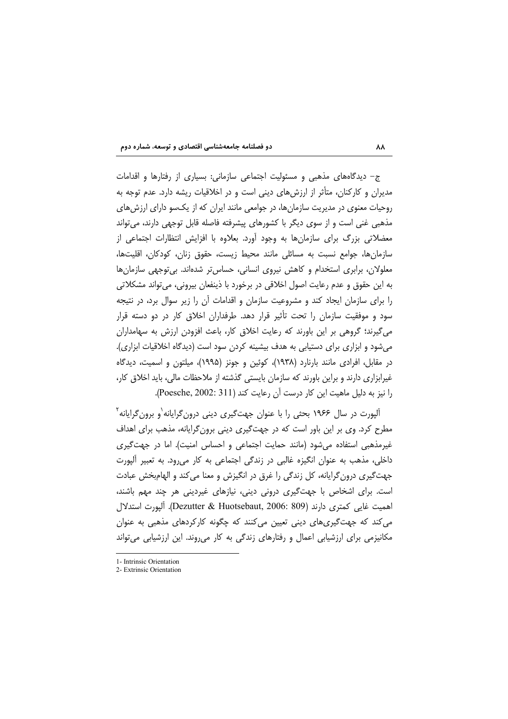ج– دیدگاههای مذهبی و مسئولیت اجتماعی سازمانی: بسیاری از رفتارها و اقدامات مدیران و کارکنان، متأثر از ارزش های دینی است و در اخلاقیات ریشه دارد. عدم توجه به روحیات معنوی در مدیریت سازمانها، در جوامعی مانند ایران که از یکسو دارای ارزشهای مذهبی غنی است و از سوی دیگر با کشورهای پیشرفته فاصله قابل توجهی دارند، می تواند معضلاتی بزرگ برای سازمانها به وجود آورد. بعلاوه با افزایش انتظارات اجتماعی از سازمانها، جوامع نسبت به مسائلي مانند محيط زيست، حقوق زنان، كودكان، اقليتها، معلولان، برابری استخدام و کاهش نیروی انسانی، حساس تر شدهاند. بی توجهی سازمانها به این حقوق و عدم رعایت اصول اخلاقی در برخورد با ذینفعان بیرونی، می تواند مشکلاتی را برای سازمان ایجاد کند و مشروعیت سازمان و اقدامات آن را زیر سوال برد، در نتیجه سود و موفقیت سازمان را تحت تأثیر قرار دهد. طرفداران اخلاق کار در دو دسته قرار می گیرند؛ گروهی بر این باورند که رعایت اخلاق کار، باعث افزودن ارزش به سهامداران میشود و ابزاری برای دستیابی به هدف بیشینه کردن سود است (دیدگاه اخلاقیات ابزاری). در مقابل، افرادی مانند بارنارد (۱۹۳۸)، کوئین و جونز (۱۹۹۵)، میلتون و اسمیت، دیدگاه غیرابزاری دارند و براین باورند که سازمان بایستی گذشته از ملاحظات مالی، باید اخلاق کار، را نیز به دلیل ماهیت این کار درست آن رعایت کند (Poesche, 2002: 311).

آلپورت در سال ۱۹۶۶ بحثی را با عنوان جهتگیری دینی درون گرایانه و برون گرایانه ۲ مطرح کرد. وی بر این باور است که در جهتگیری دینی برون گرایانه، مذهب برای اهداف غیرمذهبی استفاده میشود (مانند حمایت اجتماعی و احساس امنیت). اما در جهت گیری داخلی، مذهب به عنوان انگیزه غالبی در زندگی اجتماعی به کار می رود. به تعبیر آلپورت جهت گیری درون گرایانه، کل زندگی را غرق در انگیزش و معنا می کند و الهامبخش عبادت است. برای اشخاص با جهتگیری درونی دینی، نیازهای غیردینی هر چند مهم باشند، اهميت غايي كمترى دارند (Dezutter & Huotsebaut, 2006: 809). أليورت استدلال می کند که جهت گیری های دینی تعیین می کنند که چگونه کارکردهای مذهبی به عنوان مکانیزمی برای ارزشیابی اعمال و رفتارهای زندگی به کار می روند. این ارزشیابی می تواند

1- Intrinsic Orientation

<sup>2.</sup> Extrinsic Orientation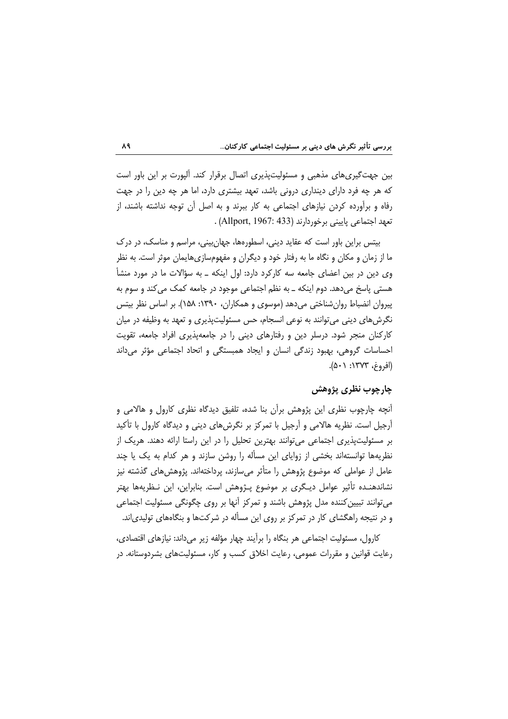بین جهت گیری های مذهبی و مسئولیتپذیری اتصال برقرار کند. آلپورت بر این باور است که هر چه فرد دارای دینداری درونی باشد، تعهد بیشتری دارد، اما هر چه دین را در جهت رفاه و برآورده کردن نیازهای اجتماعی به کار ببرند و به اصل آن توجه نداشته باشند، از تعهد اجتماعی پایینی برخوردارند (Allport, 1967: 433) .

بیتس براین باور است که عقاید دینی، اسطورهها، جهان بینی، مراسم و مناسک، در درک ما از زمان و مکان و نگاه ما به رفتار خود و دیگران و مفهومسازیهایمان موثر است. به نظر وی دین در بین اعضای جامعه سه کارکرد دارد: اول اینکه ــ به سؤالات ما در مورد منشأ هستي پاسخ مي دهد. دوم اينکه ــ به نظم اجتماعي موجود در جامعه کمک مي کند و سوم به پیروان انضباط روان شناختی می دهد (موسوی و همکاران، ۱۳۹۰: ۱۵۸). بر اساس نظر بیتس نگرشهای دینی می توانند به نوعی انسجام، حس مسئولیتپذیری و تعهد به وظیفه در میان کارکنان منجر شود. درسلر دین و رفتارهای دینی را در جامعهپذیری افراد جامعه، تقویت احساسات گروهی، بھبود زندگی انسان و ایجاد همبستگی و اتحاد اجتماعی مؤثر می داند (افروغ، ۱۳۷۳: ۵۰۱).

## چارچوب نظری پژوهش

انچه چارچوب نظری این پژوهش برآن بنا شده، تلفیق دیدگاه نظری کارول و هالامی و آرجیل است. نظریه هالامی و آرجیل با تمرکز بر نگرش های دینی و دیدگاه کارول با تأکید بر مسئولیتپذیری اجتماعی می توانند بهترین تحلیل را در این راستا ارائه دهند. هریک از نظریهها توانستهاند بخشی از زوایای این مسأله را روشن سازند و هر کدام به یک یا چند عامل از عواملی که موضوع پژوهش را متأثر می سازند، پرداختهاند. پژوهش های گذشته نیز نشاندهنـده تأثیر عوامل دیـگری بر موضوع پـژوهش است. بنابراین، این نـظریهها بهتر می توانند تبیین کننده مدل پژوهش باشند و تمرکز آنها بر روی چگونگی مسئولیت اجتماعی و در نتیجه راهگشای کار در تمرکز بر روی این مسأله در شرکتها و بنگاههای تولیدی|ند.

کارول، مسئولیت اجتماعی هر بنگاه را برآیند چهار مؤلفه زیر می داند: نیازهای اقتصادی، رعایت قوانین و مقررات عمومی، رعایت اخلاق کسب و کار، مسئولیتهای بشردوستانه. در

 $\lambda$ ٩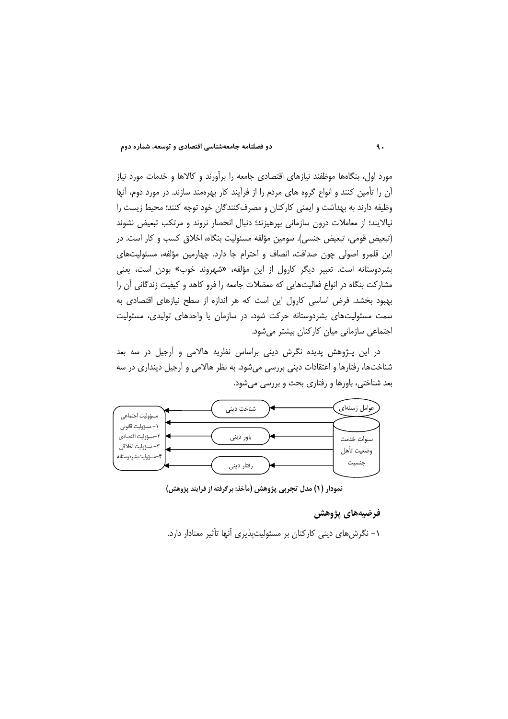

مورد اول، بنگاهها موظفند نیازهای اقتصادی جامعه را برآورند و کالاها و خدمات مورد نیاز آن را تأمین کنند و انواع گروه های مردم را از فرآیند کار بهرهمند سازند. در مورد دوم، آنها وظیفه دارند به بهداشت و ایمنی کارکنان و مصرف کنندگان خود توجه کنند؛ محیط زیست را نیالایند؛ از معاملات درون سازمانی بیرهیزند؛ دنبال انحصار نروند و مرتکب تبعیض نشوند (تبعيض قومي، تبعيض جنسي). سومين مؤلفه مسئوليت بنگاه، اخلاق كسب و كار است. در این قلمرو اصولی چون صداقت، انصاف و احترام جا دارد. چهارمین مؤلفه، مسئولیتهای بشردوستانه است. تعبیر دیگر کارول از این مؤلفه، «شهروند خوب» بودن است، یعنی مشاركت بنگاه در انواع فعاليتهايي كه معضلات جامعه را فرو كاهد و كيفيت زندگاني ان را بهبود بخشد. فرض اساسی کارول این است که هر اندازه از سطح نیازهای اقتصادی به سمت مسئولیتهای بشردوستانه حرکت شود، در سازمان یا واحدهای تولیدی، مسئولیت اجتماعی سازمانی میان کارکنان بیشتر می شود.

در این پـژوهش پدیده نگرش دینی براساس نظریه هالامی و اَرجیل در سه بعد شناختها، رفتارها و اعتقادات دینی بررسی میشود. به نظر هالامی و آرجیل دینداری در سه بعد شناختی، باورها و رفتاری بحث و بررسی میشود.



نمودار (١) مدل تجربي پژوهش (مأخذ: برگرفته از فرايند پژوهش)

### فرضيههاي پژوهش

۱– نگرشهای دینی کارکنان بر مسئولیتپذیری آنها تأثیر معنادار دارد.

 $\ddot{\mathbf{a}}$ .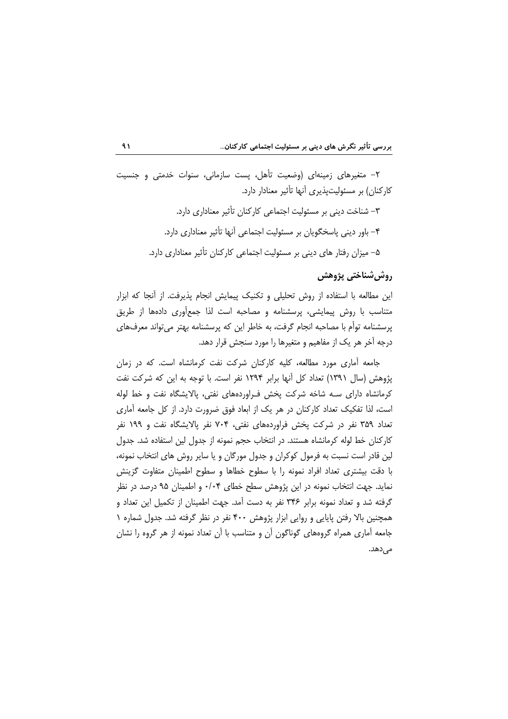۲– متغیرهای زمینهای (وضعیت تأهل، پست سازمانی، سنوات خدمتی و جنسیت کارکنان) بر مسئولیتیذیری آنها تأثیر معنادار دارد.

> ٣- شناخت دینی بر مسئولیت اجتماعی کارکنان تأثیر معناداری دارد. ۴- باور دینی پاسخگویان بر مسئولیت اجتماعی آنها تأثیر معناداری دارد. ۵– میزان رفتار های دینی بر مسئولیت اجتماعی کارکنان تأثیر معناداری دارد.

# ,وش شناختي پژوهش

این مطالعه با استفاده از روش تحلیلی و تکنیک پیمایش انجام پذیرفت. از آنجا که ابزار متناسب با روش پیمایشی، پرسشنامه و مصاحبه است لذا جمعأوری دادهها از طریق پرسشنامه توأم با مصاحبه انجام گرفت، به خاطر این که پرسشنامه بهتر می تواند معرفهای درجه آخر هر یک از مفاهیم و متغیرها را مورد سنجش قرار دهد.

جامعه آماری مورد مطالعه، کلیه کارکنان شرکت نفت کرمانشاه است. که در زمان یژوهش (سال ۱۳۹۱) تعداد کل آنها برابر ۱۲۹۴ نفر است. با توجه به این که شرکت نفت کرمانشاه دارای سـه شاخه شرکت پخش فـراوردههای نفتی، پالایشگاه نفت و خط لوله است، لذا تفكيك تعداد كاركنان در هر يك از ابعاد فوق ضرورت دارد. از كل جامعه آماري تعداد ۳۵۹ نفر در شرکت یخش فراوردههای نفتی، ۷۰۴ نفر پالایشگاه نفت و ۱۹۹ نفر كاركنان خط لوله كرمانشاه هستند. در انتخاب حجم نمونه از جدول لين استفاده شد. جدول لین قادر است نسبت به فرمول کوکران و جدول مورگان و یا سایر روش های انتخاب نمونه، با دقت بیشتری تعداد افراد نمونه را با سطوح خطاها و سطوح اطمینان متفاوت گزینش نماید. جهت انتخاب نمونه در این پژوهش سطح خطای ۰/۰۴ و اطمینان ۹۵ درصد در نظر گرفته شد و تعداد نمونه برابر ۳۴۶ نفر به دست آمد. جهت اطمینان از تکمیل این تعداد و همچنین بالا رفتن پایایی و روایی ابزار پژوهش ۴۰۰ نفر در نظر گرفته شد. جدول شماره ۱ جامعه آماری همراه گروههای گوناگون آن و متناسب با آن تعداد نمونه از هر گروه را نشان مے ،دھد.

 $\mathbf{A}$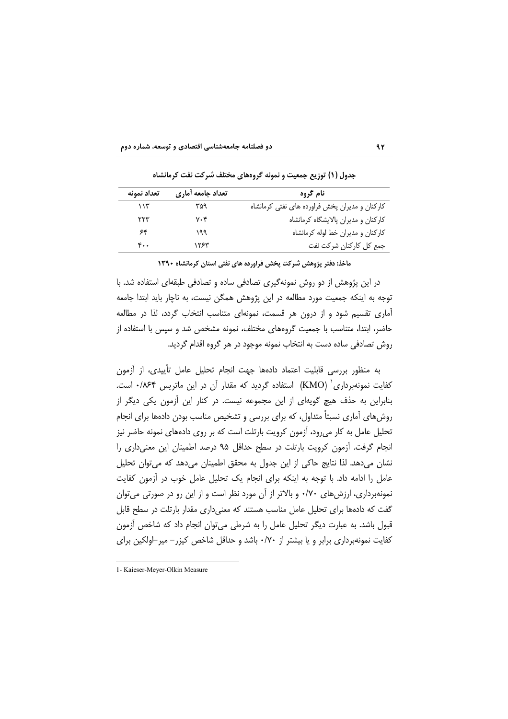| تعداد نمونه | تعداد جامعه أماري | نام گروه                                       |
|-------------|-------------------|------------------------------------------------|
| ۱۱۳         | ۳۵۹               | کارکنان و مدیران پخش فراورده های نفتی کرمانشاه |
| ۲۲۳         | ۷۰۴               | كاركنان و مديران پالايشگاه كرمانشاه            |
| ۶۴          | ۱۹۹               | كاركنان و مديران خط لوله كرمانشاه              |
| ۴۰۰         | ۱۲۶۳              | جمع كل كاركنان شركت نفت                        |

جدول (۱) توزیع جمعیت و نمونه گروههای مختلف شرکت نفت کرمانشاه

مأخذ: دفتر پژوهش شركت يخش فراورده هاي نفتي استان كرمانشاه ١٣٩٠

در این پژوهش از دو روش نمونهگیری تصادفی ساده و تصادفی طبقهای استفاده شد. با توجه به اینکه جمعیت مورد مطالعه در این پژوهش همگن نیست، به ناچار باید ابتدا جامعه آماری تقسیم شود و از درون هر قسمت، نمونهای متناسب انتخاب گردد، لذا در مطالعه حاضر، ابتدا، متناسب با جمعیت گروههای مختلف، نمونه مشخص شد و سپس با استفاده از روش تصادفی ساده دست به انتخاب نمونه موجود در هر گروه اقدام گردید.

به منظور بررسی قابلیت اعتماد دادهها جهت انجام تحلیل عامل تأییدی، از آزمون کفایت نمونهبرداری (KMO) استفاده گردید که مقدار آن در این ماتریس ۰/۸۶۴ است. بنابراین به حذف هیچ گویهای از این مجموعه نیست. در کنار این آزمون یکی دیگر از روش های آماری نسبتاً متداول، که برای بررسی و تشخیص مناسب بودن دادهها برای انجام تحلیل عامل به کار میرود، اَزمون کرویت بارتلت است که بر روی دادههای نمونه حاضر نیز انجام گرفت. آزمون کرویت بارتلت در سطح حداقل ۹۵ درصد اطمینان این معنی داری را نشان می،دهد. لذا نتایج حاکی از این جدول به محقق اطمینان می،دهد که می،توان تحلیل عامل را ادامه داد. با توجه به اینکه برای انجام یک تحلیل عامل خوب در آزمون کفایت نمونهبرداری، ارزشهای ۷۰/۰ و بالاتر از آن مورد نظر است و از این رو در صورتی می توان گفت که دادهها برای تحلیل عامل مناسب هستند که معنی داری مقدار بارتلت در سطح قابل قبول باشد. به عبارت دیگر تحلیل عامل را به شرطی میتوان انجام داد که شاخص آزمون کفایت نمونهبرداری برابر و یا بیشتر از ۰/۷۰ باشد و حداقل شاخص کیزر− میر⊣ولکین برای

 $9Y$ 

<sup>1-</sup> Kaieser-Mever-Olkin Measure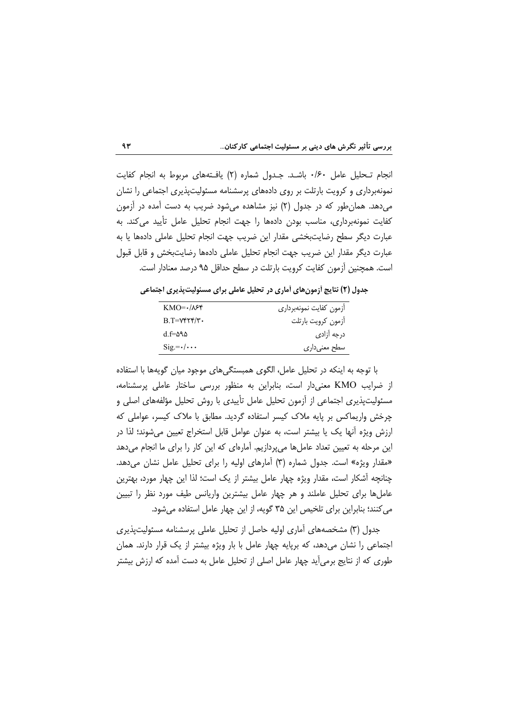انجام تـحليل عامل ١/٤٠ باشـد. جـدول شماره (٢) يافـتههاى مربوط به انجام كفايت نمونهبرداری و کرویت بارتلت بر روی دادههای پرسشنامه مسئولیتپذیری اجتماعی را نشان میدهد. همان طور که در جدول (۲) نیز مشاهده میشود ضریب به دست آمده در آزمون كفايت نمونهبرداري، مناسب بودن دادهها را جهت انجام تحليل عامل تأييد مي كند. به عبارت دیگر سطح رضایتبخشی مقدار این ضریب جهت انجام تحلیل عاملی دادهها یا به عبارت دیگر مقدار این ضریب جهت انجام تحلیل عاملی دادهها رضایتبخش و قابل قبول است. همچنین آزمون کفایت کرویت بارتلت در سطح حداقل ۹۵ درصد معنادار است.

جدول (۲) نتایج ازمونهای اَماری در تحلیل عاملی برای مسئولیتپذیری اجتماعی

| $KMO=1.188$                        | أزمون كفايت نمونهبردارى |
|------------------------------------|-------------------------|
| $B.T = Vf f f'$                    | أزمون كرويت بارتلت      |
| d f=595                            | درجه آزادی              |
| $\text{Sig} = \cdot / \cdot \cdot$ | سطح معنىدارى            |

با توجه به اینکه در تحلیل عامل، الگوی همبستگی های موجود میان گویهها با استفاده از ضرایب KMO معنیدار است، بنابراین به منظور بررسی ساختار عاملی پرسشنامه، مسئولیتپذیری اجتماعی از اُزمون تحلیل عامل تأییدی با روش تحلیل مؤلفههای اصلی و چرخش واریماکس بر پایه ملاک کیسر استفاده گردید. مطابق با ملاک کیسر، عواملی که ارزش ویژه أنها یک یا بیشتر است، به عنوان عوامل قابل استخراج تعیین میشوند؛ لذا در این مرحله به تعیین تعداد عاملها می پردازیم. آمارهای که این کار را برای ما انجام می دهد «مقدار ویژه» است. جدول شماره (۳) آمارهای اولیه را برای تحلیل عامل نشان می دهد. چنانچه أشكار است، مقدار ويژه چهار عامل بيشتر از يک است؛ لذا اين چهار مورد، بهترين عاملها برای تحلیل عاملند و هر چهار عامل بیشترین واریانس طیف مورد نظر را تبیین می کنند؛ بنابراین برای تلخیص این ۳۵ گویه، از این چهار عامل استفاده می شود.

جدول (۳) مشخصههای آماری اولیه حاصل از تحلیل عاملی پرسشنامه مسئولیتپذیری اجتماعی را نشان میدهد، که برپایه چهار عامل با بار ویژه بیشتر از یک قرار دارند. همان طوری که از نتایج برمی[ید چهار عامل اصلی از تحلیل عامل به دست آمده که ارزش بیشتر

 $9r$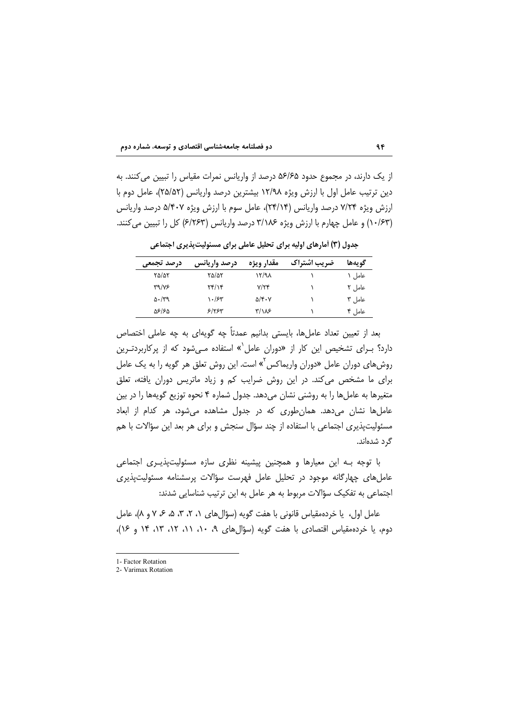از یک دارند، در مجموع حدود ۵۶/۶۵ درصد از واریانس نمرات مقیاس را تبیین می کنند. به دين ترتيب عامل اول با ارزش ويژه ١٢/٩٨ بيشترين درصد واريانس (٢۵/۵۲)، عامل دوم با ارزش ویژه ۷/۲۴ درصد واریانس (۲۴/۱۴)، عامل سوم با ارزش ویژه ۵/۴۰۷ درصد واریانس (۱۰/۶۳) و عامل چهارم با ارزش ویژه ۳/۱۸۶ درصد واریانس (۶/۲۶۳) کل را تبیین می کنند.

 $9F$ 

جدول (۳) آمارهای اولیه برای تحلیل عاملی برای مسئولیتپذیری اجتماعی

| درصد تجمعي        | درصد واريانس | مقدار ويژه                           | ضريب اشتراك | گويەھا   |
|-------------------|--------------|--------------------------------------|-------------|----------|
| ۲۵/۵۲             | ۲۵/۵۲        | ۱۲/۹۸                                |             | عاما , ۱ |
| <b>٣٩/٧۶</b>      | Yf/Y         | V/Yf                                 |             | عامل ۲   |
| $\Delta \cdot 79$ | ۱۰/۶۳        | $\Delta/\mathfrak{r}\cdot\mathsf{V}$ |             | عامل ۳   |
| ۵۶/۶۵             | ۶۱۲۶۳        | $\frac{1}{2}$                        |             | عامل ۴   |

بعد از تعیین تعداد عاملها، بایستی بدانیم عمدتاً چه گویهای به چه عاملی اختصاص دارد؟ برای تشخیص این کار از «دوران عامل<sup>٧</sup>» استفاده میشود که از پرکاربردترین روشهای دوران عامل «دوران واریماکس<sup>›</sup>» است. این روش تعلق هر گویه را به یک عامل برای ما مشخص می کند. در این روش ضرایب کم و زیاد ماتریس دوران یافته، تعلق متغیرها به عاملها را به روشنی نشان میدهد. جدول شماره ۴ نحوه توزیع گویهها را در بین عاملها نشان می دهد. همان طوری که در جدول مشاهده می شود، هر کدام از ابعاد مسئولیتپذیری اجتماعی با استفاده از چند سؤال سنجش و برای هر بعد این سؤالات با هم گرد شدهاند.

با توجه بـه این معیارها و همچنین پیشینه نظری سازه مسئولیتپذیـری اجتماعی عامل های چهارگانه موجود در تحلیل عامل فهرست سؤالات پرسشنامه مسئولیتپذیری اجتماعی به تفکیک سؤالات مربوط به هر عامل به این ترتیب شناسایی شدند:

عامل اول، یا خردهمقیاس قانونی با هفت گویه (سؤال های ۱، ۲، ۳، ۵، ۶ ۷ و ۸)، عامل دوم، یا خردهمقیاس اقتصادی با هفت گویه (سؤالهای ۹، ۱۰، ۱۱، ۱۲، ۱۳، ۱۴ و ۱۶)،

<sup>1-</sup> Factor Rotation

<sup>2-</sup> Varimax Rotation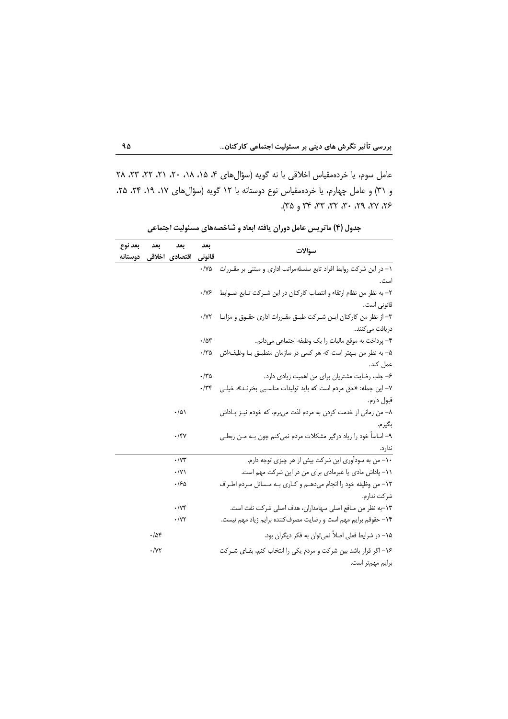عامل سوم، یا خردهمقیاس اخلاقی با نه گویه (سؤال های ۴، ۱۵، ۱۸، ۲۰، ۲۱، ۲۲، ۳۲، ۲۸ و ٣١) و عامل چهارم، يا خردهمقياس نوع دوستانه با ١٢ گويه (سؤالهاي ١٧، ١٩، ٢۴، ٢۵، ٢٣، ٢٧، ٢٩، ٣٠، ٣٣، ٣٣، ٣٩ و ٣٥).

| بعد نوع | بعد              | بعد                | بعد              |                                                                        |
|---------|------------------|--------------------|------------------|------------------------------------------------------------------------|
| دوستانه |                  | اقتصادی اخلاقی     | قانوني           | سؤالات                                                                 |
|         |                  |                    | ۰/۷۵             | ۱– در این شرکت روابط افراد تابع سلسلهمراتب اداری و مبتنی بر مقـررات    |
|         |                  |                    |                  | است.                                                                   |
|         |                  |                    | $\cdot$ /Y۶      | ٢– به نظر من نظام ارتقاء و انتصاب كاركنان در اين شـركت تـابع ضــوابط   |
|         |                  |                    |                  | قانونی است.                                                            |
|         |                  |                    | $\cdot$ /Y٢      | ٣– از نظر من كاركنان ايـن شـركت طبـق مقـررات ادارى حقـوق و مزايـا      |
|         |                  |                    |                  | دریافت می کنند.                                                        |
|         |                  |                    | $\cdot/\Delta r$ | ۴- پرداخت به موقع ماليات را يک وظيفه اجتماعي ميدانم.                   |
|         |                  |                    | ۳۵-              | ۵– به نظر من بـهتر است که هر کسی در سازمان منطبـق بـا وظیفـهاش         |
|         |                  |                    |                  | عمل کند.                                                               |
|         |                  |                    | $\cdot$ /٣۵      | ۶- جلب رضایت مشتریان برای من اهمیت زیادی دارد.                         |
|         |                  |                    | $\cdot$ /٣۴      | ۷- این جمله: «حق مردم است که باید تولیدات مناسبی بخرنـد»، خیلـی        |
|         |                  |                    |                  | قبول دارم.                                                             |
|         |                  | $\cdot/\Delta$     |                  | ۸– من زمانی از خدمت کردن به مردم لذت میبرم، که خودم نیـز پــاداش       |
|         |                  |                    |                  | بگيرم.                                                                 |
|         |                  | ۰/۴۷               |                  | ۹– اساساً خود را زیاد درگیر مشکلات مردم نمی کنم چون بـه مـن ربطـی      |
|         |                  |                    |                  | ندار د.                                                                |
|         |                  | $\cdot/\Upsilon$   |                  | ۱۰– من به سودآوری این شرکت بیش از هر چیزی توجه دارم.                   |
|         |                  | $\cdot/\gamma$     |                  | ١١- پاداش مادي يا غيرمادي براي من در اين شركت مهم است.                 |
|         |                  | ۱۶۵.               |                  | ١٢– من وظيفه خود را انجام مىدهــم و كــارى بــه مــسائل مــردم اطــراف |
|         |                  |                    |                  | شر كت ندارم.                                                           |
|         |                  | $\cdot$ / $\vee$ ۴ |                  | ١٣-به نظر من منافع اصلي سهامداران، هدف اصلي شركت نفت است.              |
|         |                  | $\cdot$ /yy        |                  | ۱۴– حقوقم برایم مهم است و رضایت مصرف¢ننده برایم زیاد مهم نیست.         |
|         | $\cdot/\Delta f$ |                    |                  | ۱۵– در شرایط فعلی اصلاً نمی توان به فکر دیگران بود.                    |
|         | $\cdot$ /۷۲      |                    |                  | ۱۶– اگر قرار باشد بین شرکت و مردم یکی را انتخاب کنم، بقـای شــرکت      |
|         |                  |                    |                  | برايم مهمتر است.                                                       |

جدول (۴) ماتریس عامل دوران یافته ابعاد و شاخصههای مسئولیت اجتماعی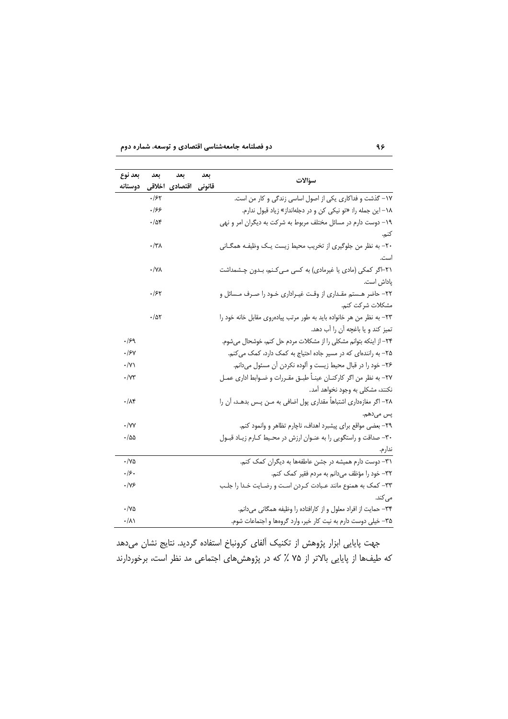دو فصلنامه جامعهشناسی اقتصادی و توسعه، شماره دوم

| بعد نوع                | بعد              | بعد                   | بعد | سؤالات                                                                 |
|------------------------|------------------|-----------------------|-----|------------------------------------------------------------------------|
| دوستانه                |                  | قانونی اقتصادی اخلاقی |     |                                                                        |
|                        | .188             |                       |     | ١٧- گذشت و فداكارى يكى از اصول اساسى زندگى و كار من است.               |
|                        | ۱۶۶              |                       |     | ١٨- اين جمله را: «تو نيكي كن و در دجلهانداز» زياد قبول ندارم.          |
|                        | $\cdot/\Delta f$ |                       |     | ۱۹– دوست دارم در مسائل مختلف مربوط به شرکت به دیگران امر و نهی         |
|                        |                  |                       |     | كنم.                                                                   |
|                        | ۰/۳۸             |                       |     | ۲۰– به نظر من جلوگیری از تخریب محیط زیست یـک وظیفـه همگـانی            |
|                        |                  |                       |     | است.                                                                   |
|                        | ٠/٧٨             |                       |     | ۲۱−اگر کمکی (مادی یا غیرمادی) به کسی مـی <i>ک</i> ـنم، بـدون چـشمداشت  |
|                        |                  |                       |     | پاداش است.                                                             |
|                        | ۱۶۲              |                       |     | ٢٢– حاضر هـستم مقـداري از وقـت غيـراداري خـود را صـرف مـسائل و         |
|                        |                  |                       |     | مشكلات شركت كنم.                                                       |
|                        | ۰/۵۲             |                       |     | ٢٣- به نظر من هر خانواده بايد به طور مرتب پيادهروي مقابل خانه خود را   |
|                        |                  |                       |     | تميز كند و يا باغچه آن را آب دهد.                                      |
| .159                   |                  |                       |     | ٢۴- از اینکه بتوانم مشکلی را از مشکلات مردم حل کنم، خوشحال میشوم.      |
| .184                   |                  |                       |     | ۲۵- به رانندهای که در مسیر جاده احتیاج به کمک دارد، کمک می کنم.        |
| $\cdot$ /Y)            |                  |                       |     | ۲۶– خود را در قبال محیط زیست و آلوده نکردن آن مسئول میدانم.            |
| $\cdot$ / $\gamma\tau$ |                  |                       |     | ٢٧- به نظر من اگر كاركنـان عينـاً طبـق مقـررات و ضـوابط ادارى عمـل     |
|                        |                  |                       |     | نکنند، مشکلی به وجود نخواهد آمد.                                       |
| $\cdot/\lambda$ ۴      |                  |                       |     | ٢٨– اگر مغازەدارى اشتباهاً مقدارى پول اضافى به مــن پــس بدهــد، آن را |
|                        |                  |                       |     | پس میدهم.                                                              |
| $\cdot$ /YY            |                  |                       |     | ٢٩- بعضي مواقع براي پيشبرد اهداف، ناچارم تظاهر و وانمود كنم.           |
| ۰/۵۵                   |                  |                       |     | ۳۰– صداقت و راستگویی را به عنـوان ارزش در محـیط کـارم زیـاد قبـول      |
|                        |                  |                       |     | ندارم.                                                                 |
| ۱۷۵.                   |                  |                       |     | ٣١- دوست دارم هميشه در جشن عاطفهها به ديگران كمك كنم.                  |
| ۰۱۶۰                   |                  |                       |     | ٣٢– خود را مؤظف ميدانم به مردم فقير كمك كنم.                           |
| .195                   |                  |                       |     | ٣٣- كمك به همنوع مانند عـبادت كـردن اسـت و رضـايت خـدا را جلـب         |
|                        |                  |                       |     | می کند.                                                                |
| $\cdot$ /Ya            |                  |                       |     | ۳۴– حمایت از افراد معلول و از کارافتاده را وظیفه همگانی میدانم.        |
| $\cdot/\lambda$        |                  |                       |     | ۳۵– خیلی دوست دارم به نیت کار خیر، وارد گروهها و اجتماعات شوم.         |

جهت پایایی ابزار پژوهش از تکنیک آلفای کرونباخ استفاده گردید. نتایج نشان میدهد که طیفها از پایایی بالاتر از ۷۵ ٪ که در پژوهشهای اجتماعی مد نظر است، برخوردارند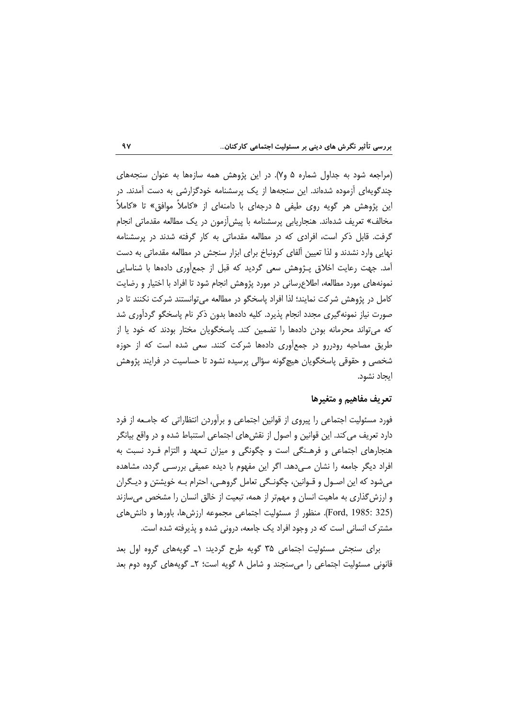(مراجعه شود به جداول شماره ۵ و۷). در این پژوهش همه سازهها به عنوان سنجههای چندگویهای آزموده شدهاند. این سنجهها از یک پرسشنامه خودگزارشی به دست آمدند. در این پژوهش هر گویه روی طیفی ۵ درجهای با دامنهای از «کاملاً موافق» تا «کاملاً مخالف» تعریف شدهاند. هنجاریابی پرسشنامه با پیش[زمون در یک مطالعه مقدماتی انجام گرفت. قابل ذکر است، افرادی که در مطالعه مقدماتی به کار گرفته شدند در پرسشنامه نهایی وارد نشدند و لذا تعیین آلفای کرونباخ برای ابزار سنجش در مطالعه مقدماتی به دست آمد. جهت رعایت اخلاق پـژوهش سعی گردید که قبل از جمعأوری دادهها با شناسایی نمونههای مورد مطالعه، اطلاع رسانی در مورد پژوهش انجام شود تا افراد با اختیار و رضایت كامل در پژوهش شركت نمايند؛ لذا افراد پاسخگو در مطالعه مىتوانستند شركت نكنند تا در صورت نیاز نمونهگیری مجدد انجام پذیرد. کلیه دادهها بدون ذکر نام پاسخگو گردآوری شد که می تواند محرمانه بودن دادهها را تضمین کند. پاسخگویان مختار بودند که خود یا از طریق مصاحبه رودررو در جمعآوری دادهها شرکت کنند. سعی شده است که از حوزه شخصی و حقوقی پاسخگویان هیچگونه سؤالی پرسیده نشود تا حساسیت در فرایند پژوهش ابجاد نشود.

### تعريف مفاهيم و متغيرها

فورد مسئولیت اجتماعی را پیروی از قوانین اجتماعی و برآوردن انتظاراتی که جامعه از فرد دارد تعریف می کند. این قوانین و اصول از نقش های اجتماعی استنباط شده و در واقع بیانگر هنجارهای اجتماعی و فرهـنگی است و چگونگی و میزان تـعهد و التزام فـرد نسبت به افراد دیگر جامعه را نشان مے ردھد. اگر این مفھوم با دیدہ عمیقی بررسے گردد، مشاھدہ می شود که این اصـول و قـوانین، چگونـگی تعامل گروهـی، احترام بـه خویشتن و دیـگران و ارزش گذاری به ماهیت انسان و مهمتر از همه، تبعیت از خالق انسان را مشخص میسازند (Ford, 1985: 325). منظور از مسئوليت اجتماعي مجموعه ارزشها، باورها و دانشهاى مشترک انسانی است که در وجود افراد یک جامعه، درونی شده و پذیرفته شده است.

برای سنجش مسئولیت اجتماعی ۳۵ گویه طرح گردید: ۱ـ گویههای گروه اول بعد قانونی مسئولیت اجتماعی را می سنجند و شامل ۸ گویه است؛ ۲ـ گویههای گروه دوم بعد

 $9V$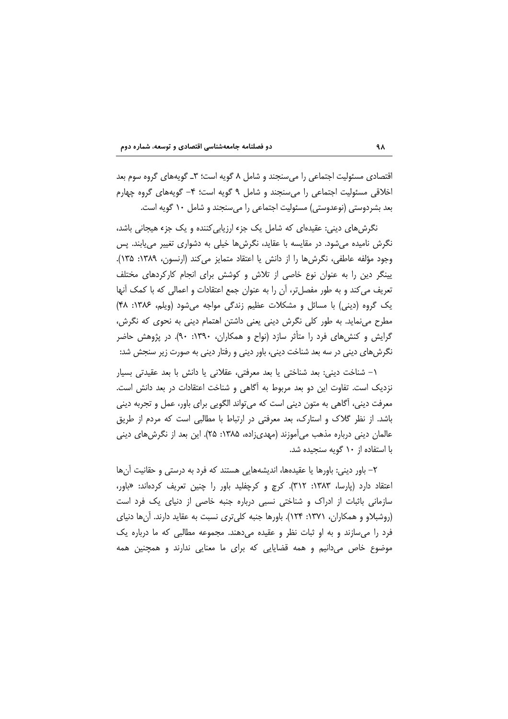اقتصادی مسئولیت اجتماعی را میسنجند و شامل ۸ گویه است؛ ۳ـ گویههای گروه سوم بعد اخلاقی مسئولیت اجتماعی را می سنجند و شامل ۹ گویه است؛ ۴– گویههای گروه چهارم بعد بشردوستی (نوعدوستی) مسئولیت اجتماعی را می سنجند و شامل ۱۰ گویه است.

نگرش های دینی: عقیدهای که شامل یک جزء ارزیابی کننده و یک جزء هیجانی باشد، نگرش نامیده میشود. در مقایسه با عقاید، نگرشها خیلی به دشواری تغییر مییابند. پس وجود مؤلفه عاطفي، نگرش ها را از دانش يا اعتقاد متمايز مي كند (ارنسون، ١٣٨٩: ١٣۵). یینگر دین را به عنوان نوع خاصی از تلاش و کوشش برای انجام کارکردهای مختلف تعریف می کند و به طور مفصل تر، أن را به عنوان جمع اعتقادات و اعمالی که با کمک أنها یک گروه (دینی) با مسائل و مشکلات عظیم زندگی مواجه می شود (ویلم، ۱۳۸۶: ۴۸) مطرح می نماید. به طور کلی نگرش دینی یعنی داشتن اهتمام دینی به نحوی که نگرش، گرایش و کنش های فرد را متأثر سازد (نواح و همکاران، ۱۳۹۰: ۹۰). در پژوهش حاضر نگرشهای دینی در سه بعد شناخت دینی، باور دینی و رفتار دینی به صورت زیر سنجش شد:

١– شناخت ديني: بعد شناختي يا بعد معرفتي، عقلاني يا دانش با بعد عقيدتي بسيار نزدیک است. تفاوت این دو بعد مربوط به آگاهی و شناخت اعتقادات در بعد دانش است. معرفت دینی، أگاهی به متون دینی است که میتواند الگویی برای باور، عمل و تجربه دینی باشد. از نظر گلاک و استارک، بعد معرفتی در ارتباط با مطالبی است که مردم از طریق عالمان دینی درباره مذهب می آموزند (مهدی;اده، ۱۳۸۵: ۲۵). این بعد از نگرش های دینی با استفاده از ۱۰ گویه سنجیده شد.

۲– باور دینی: باورها یا عقیدهها، اندیشههایی هستند که فرد به درستی و حقانیت آنها اعتقاد دارد (پارسا، ۱۳۸۳: ۳۱۲). کرچ و کرچفلید باور را چنین تعریف کردهاند: «باور، سازمانی باثبات از ادراک و شناختی نسبی درباره جنبه خاصی از دنیای یک فرد است (روشبلاو و همکاران، ۱۳۷۱: ۱۲۴). باورها جنبه کلی تری نسبت به عقاید دارند. آنها دنیای فرد را میسازند و به او ثبات نظر و عقیده میدهند. مجموعه مطالبی که ما درباره یک موضوع خاص میدانیم و همه قضایایی که برای ما معنایی ندارند و همچنین همه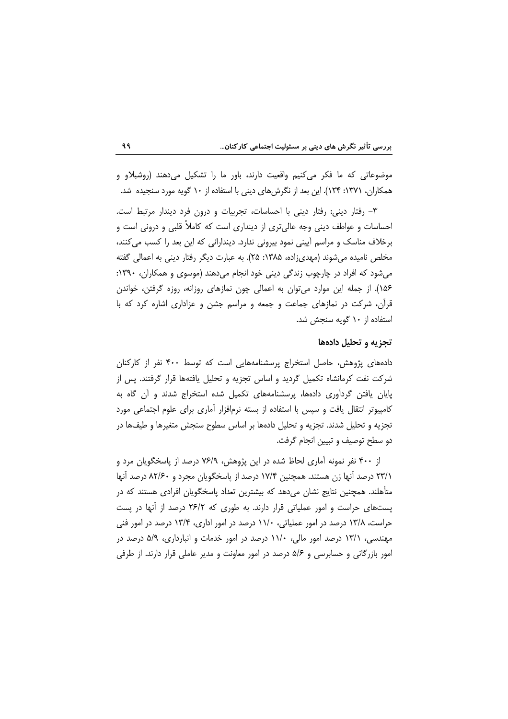موضوعاتی که ما فکر میکنیم واقعیت دارند، باور ما را تشکیل میدهند (روشبلاو و همکاران، ۱۳۷۱: ۱۲۴). این بعد از نگرشهای دینی با استفاده از ۱۰ گویه مورد سنجیده شد.

٣- رفتار ديني: رفتار ديني با احساسات، تجربيات و درون فرد ديندار مرتبط است. احساسات و عواطف دینی وجه عالی تری از دینداری است که کاملاً قلبی و درونی است و برخلاف مناسک و مراسم آیینی نمود بیرونی ندارد. دیندارانی که این بعد را کسب میکنند، مخلص نامیده می شوند (مهدی;اده، ۱۳۸۵: ۲۵). به عبارت دیگر رفتار دینی به اعمالی گفته میشود که افراد در چارچوب زندگی دینی خود انجام میدهند (موسوی و همکاران، ۱۳۹۰: ۱۵۶). از جمله این موارد می توان به اعمالی چون نمازهای روزانه، روزه گرفتن، خواندن قرآن، شرکت در نمازهای جماعت و جمعه و مراسم جشن و عزاداری اشاره کرد که با استفاده از ۱۰ گویه سنجش شد.

### تجزیه و تحلیل دادهها

دادههای پژوهش، حاصل استخراج پرسشنامههایی است که توسط ۴۰۰ نفر از کارکنان شرکت نفت کرمانشاه تکمیل گردید و اساس تجزیه و تحلیل یافتهها قرار گرفتند. پس از پایان یافتن گردآوری دادهها، پرسشنامههای تکمیل شده استخراج شدند و آن گاه به کامپیوتر انتقال یافت و سپس با استفاده از بسته نرمافزار آماری برای علوم اجتماعی مورد تجزیه و تحلیل شدند. تجزیه و تحلیل دادهها بر اساس سطوح سنجش متغیرها و طیفها در دو سطح توصیف و تبیین انجام گرفت.

از ۴۰۰ نفر نمونه آماری لحاظ شده در این پژوهش، ۷۶/۹ درصد از پاسخگویان مرد و ۲۳/۱ درصد آنها زن هستند. همچنین ۱۷/۴ درصد از پاسخگویان مجرد و ۸۲/۶۰ درصد آنها متأهلند. همچنین نتایج نشان میدهد که بیشترین تعداد پاسخگویان افرادی هستند که در پستهای حراست و امور عملیاتی قرار دارند. به طوری که ۲۶/۲ درصد از آنها در پست حراست، ۱۳/۸ درصد در امور عملیاتی، ۱۱/۰ درصد در امور اداری، ۱۳/۴ درصد در امور فنی مهندسی، ۱۳/۱ درصد امور مالی، ۱۱/۰ درصد در امور خدمات و انبارداری، ۵/۹ درصد در امور بازرگانی و حسابرسی و ۵/۶ درصد در امور معاونت و مدیر عاملی قرار دارند. از طرفی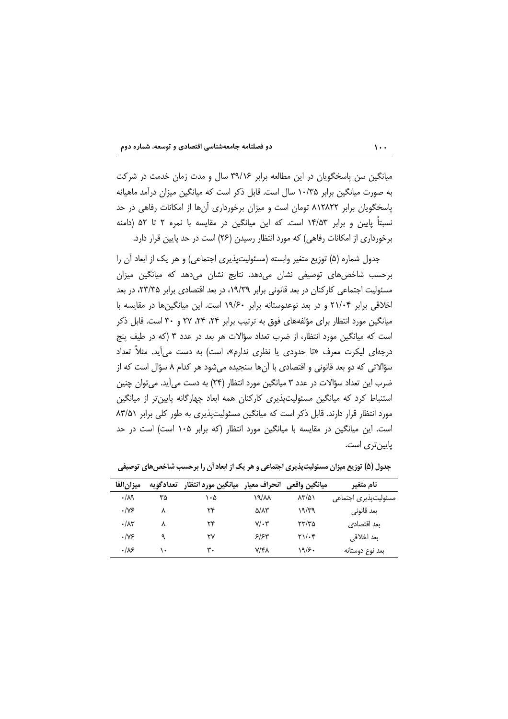| دو فصلنامه جامعهشناسی اقتصادی و توسعه، شماره دوم |  |  |  |  |
|--------------------------------------------------|--|--|--|--|
|--------------------------------------------------|--|--|--|--|

میانگین سن پاسخگویان در این مطالعه برابر ۳۹/۱۶ سال و مدت زمان خدمت در شرکت به صورت میانگین برابر ۱۰/۳۵ سال است. قابل ذکر است که میانگین میزان درآمد ماهیانه پاسخگویان برابر ۸۱۲۸۲۲ تومان است و میزان برخورداری آنها از امکانات رفاهی در حد نسبتاً پایین و برابر ۱۴/۵۳ است. که این میانگین در مقایسه با نمره ۲ تا ۵۲ (دامنه برخورداری از امکانات رفاهی) که مورد انتظار رسیدن (۲۶) است در حد پایین قرار دارد.

جدول شماره (۵) توزیع متغیر وابسته (مسئولیتپذیری اجتماعی) و هر یک از ابعاد آن را برحسب شاخصهای توصیفی نشان میدهد. نتایج نشان میدهد که میانگین میزان مسئولیت اجتماعی کارکنان در بعد قانونی برابر ۱۹/۳۹، در بعد اقتصادی برابر ۲۳/۳۵، در بعد اخلاقی برابر ۲۱/۰۴ و در بعد نوعدوستانه برابر ۱۹/۶۰ است. این میانگینها در مقایسه با میانگین مورد انتظار برای مؤلفههای فوق به ترتیب برابر ۲۴، ۲۴، ۲۷ و ۳۰ است. قابل ذکر است که میانگین مورد انتظار، از ضرب تعداد سؤالات هر بعد در عدد ۳ (که در طیف پنج درجهای لیکرت معرف «تا حدودی یا نظری ندارم»، است) به دست می آید. مثلاً تعداد سؤالاتی که دو بعد قانونی و اقتصادی با آنها سنجیده میشود هر کدام ۸ سؤال است که از ضرب این تعداد سؤالات در عدد ۳ میانگین مورد انتظار (۲۴) به دست می آید. می توان چنین استنباط کرد که میانگین مسئولیتپذیری کارکنان همه ابعاد چهارگانه پایینتر از میانگین مورد انتظار قرار دارند. قابل ذکر است که میانگین مسئولیتپذیری به طور کلی برابر ۸۳/۵۱ است. این میانگین در مقایسه با میانگین مورد انتظار (که برابر ۱۰۵ است) است در حد پایینتری است.

| ميزانألفا         | تعدادگویه | ميانگين واقعى  انحراف معيار  ميانگين مورد انتظار |                      |                                     | نام متغير            |
|-------------------|-----------|--------------------------------------------------|----------------------|-------------------------------------|----------------------|
| ۰/۸۹              | ۳۵        | ۱۰۵                                              | ۱۹/۸۸                | $\lambda \texttt{r} / \texttt{\^o}$ | مسئوليتپذيرى اجتماعي |
| 7۷۶ •             | ٨         | ۲۴                                               | $\Delta/\Lambda\tau$ | ۱۹/۳۹                               | بعد قانونی           |
| $\cdot/\lambda$ ۳ |           | ۲۴                                               | $V/\cdot$ ۳          | ۲۳/۳۵                               | بعد اقتصادي          |
| 7۷۶ •             | ٩         | ۲۷                                               | ۶۱۶۳                 | $\gamma/\cdot$ ۴                    | بعد اخلاقى           |
| .18               | ۱.        | ۳۰                                               | ۷/۴۸                 | 19/۶۰                               | بعد نوع دوستانه      |

جدول (۵) توزیع میزان مسئولیتیذیری اجتماعی و هر یک از ابعاد آن را برحسب شاخص های توصیفی

 $\mathbf{1} \cdot \mathbf{1}$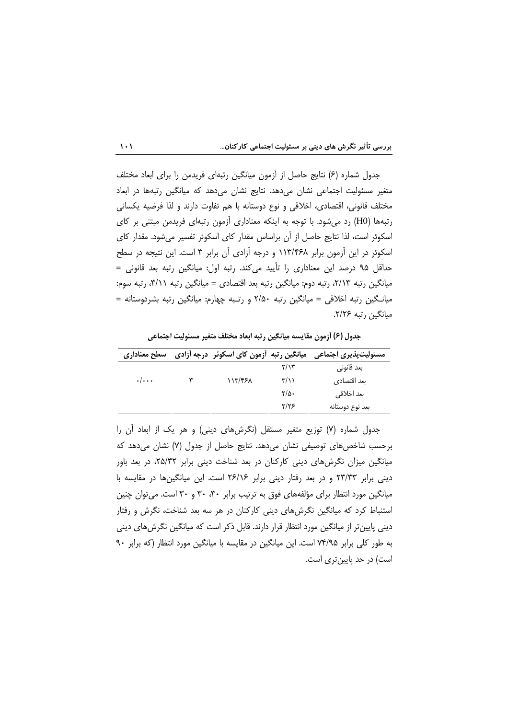جدول شماره (۶) نتایج حاصل از أزمون میانگین رتبهای فریدمن را برای ابعاد مختلف متغیر مسئولیت اجتماعی نشان میدهد. نتایج نشان میدهد که میانگین رتبهها در ابعاد مختلف قانونی، اقتصادی، اخلاقی و نوع دوستانه با هم تفاوت دارند و لذا فرضیه یکسانی رتبهها (H0) رد می شود. با توجه به اینکه معناداری آزمون رتبهای فریدمن مبتنی بر کای اسکوئر است، لذا نتایج حاصل از آن براساس مقدار کای اسکوئر تفسیر می شود. مقدار کای اسکوئر در این آزمون برابر ۱۱۳/۴۶۸ و درجه آزادی آن برابر ۳ است. این نتیجه در سطح حداقل ۹۵ درصد این معناداری را تأیید میکند. رتبه اول: میانگین رتبه بعد قانونی = میانگین رتبه ۲/۱۳، رتبه دوم: میانگین رتبه بعد اقتصادی = میانگین رتبه ۳/۱۱، رتبه سوم: میانگین رتبه اخلاقی = میانگین رتبه ۲/۵۰ و رتـبه چهارم: میانگین رتبه بشردوستانه = مبانگین رتبه ۲/۲۶.

جدول (۶) أزمون مقايسه ميانگين رتبه ابعاد مختلف متغير مسئوليت اجتماعي

| سطح معناداري       | میانگین رتبه آزمون کای اسکوئر درجه آزادی |      | مسئولیتپذیری اجتماعی |
|--------------------|------------------------------------------|------|----------------------|
|                    |                                          | ۲/۱۳ | بعد قانونی           |
| $\cdot/\cdot\cdot$ | ۱۱۳/۴۶۸                                  | ۳/۱۱ | بعد اقتصادي          |
|                    |                                          | ۲/۵۰ | بعد اخلاقى           |
|                    |                                          | ۲/۲۶ | بعد نوع دوستانه      |

جدول شماره (۷) توزیع متغیر مستقل (نگرشهای دینی) و هر یک از ابعاد آن را برحسب شاخصهای توصیفی نشان می دهد. نتایج حاصل از جدول (۷) نشان می دهد که میانگین میزان نگرش های دینی کارکنان در بعد شناخت دینی برابر ۲۵/۳۲، در بعد باور دینی برابر ۲۳/۳۳ و در بعد رفتار دینی برابر ۲۶/۱۶ است. این میانگینها در مقایسه با میانگین مورد انتظار برای مؤلفههای فوق به ترتیب برابر ۳۰، ۳۰ و ۳۰ است. می توان چنین استنباط کرد که میانگین نگرشهای دینی کارکنان در هر سه بعد شناخت، نگرش و رفتار دینی پایینتر از میانگین مورد انتظار قرار دارند. قابل ذکر است که میانگین نگرش های دینی به طور کلی برابر ۷۴/۹۵ است. این میانگین در مقایسه با میانگین مورد انتظار (که برابر ۹۰ است) در حد پایین تری است.

 $\mathbf{1} \cdot \mathbf{1}$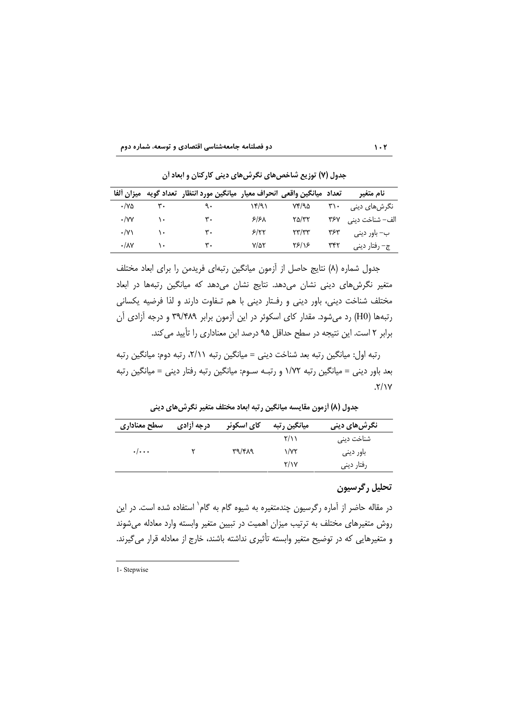| ميزان ألفا        |    | تعداد  ميانگين واقعي  انحراف معيار  ميانگين مورد انتظار  تعداد گويه |              |                                             |     | نام متغیر            |
|-------------------|----|---------------------------------------------------------------------|--------------|---------------------------------------------|-----|----------------------|
| ۷۵۰/۰             | ٣٠ | ٩٠                                                                  | ۱۴/۹۱        | ۲۴/۹۵                                       | ۳۱۰ | نگرشها <i>ی</i> دینی |
| $\cdot$ /vv       | ١٠ | ٣٠                                                                  | $5/5\lambda$ | $Y\Delta/YY$                                | ۳۶۷ | الف– شناخت دینی      |
| $\cdot$ /Y)       | ١٠ | ٣٠                                                                  | 5/57         | $\mathsf{Y}\mathsf{Y}'\mathsf{Y}\mathsf{Y}$ | ۳۶۳ | ب– باور دینی         |
| $\cdot/\lambda$ Y | ۱٠ | ٣٠                                                                  | $V/\Delta Y$ | ۲۶/۱۶                                       | ۳۴۲ | ج– رفتار ديني        |

جدول (۷) توزیع شاخصهای نگرشهای دینی کارکنان و ابعاد آن

جدول شماره (٨) نتايج حاصل از آزمون ميانگين رتبهاي فريدمن را براي ابعاد مختلف متغیر نگرش های دینی نشان می دهد. نتایج نشان می دهد که میانگین رتبهها در ابعاد مختلف شناخت دینی، باور دینی و رفتار دینی با هم تـفاوت دارند و لذا فرضیه یکسانی رتبهها (H0) رد می شود. مقدار کای اسکوئر در این آزمون برابر ۳۹/۴۸۹ و درجه آزادی آن برابر ٢ است. اين نتيجه در سطح حداقل ٩۵ درصد اين معناداري را تأييد مي كند.

رتبه اول: میانگین رتبه بعد شناخت دینی = میانگین رتبه ۲/۱۱، رتبه دوم: میانگین رتبه بعد باور دینی = میانگین رتبه ۱/۷۲ و رتبـه سـوم: میانگین رتبه رفتار دینی = میانگین رتبه  $.7/1Y$ 

جدول (٨) أزمون مقايسه ميانگين رتبه ابعاد مختلف متغير نگرشهاي ديني

| سطح معناداري       | درجه أزادي | کای اسکوئر | میانگین رتبه     | نگرش@ای دین <i>ی</i>   |
|--------------------|------------|------------|------------------|------------------------|
|                    |            |            | $\frac{1}{2}$ ۱۱ | شناخت دین <sub>ی</sub> |
| $\cdot/\cdot\cdot$ |            | ۳۹/۴۸۹     | $\sqrt{x}$       | باور دینی              |
|                    |            |            | Y/Y              | رفتار ديني             |

### تحليل رگرسيون

 $1.7$ 

در مقاله حاضر از آماره رگرسیون چندمتغیره به شیوه گام به گام` استفاده شده است. در این روش متغیرهای مختلف به ترتیب میزان اهمیت در تبیین متغیر وابسته وارد معادله می شوند و متغیرهایی که در توضیح متغیر وابسته تأثیری نداشته باشند، خارج از معادله قرار می گیرند.

1- Stepwise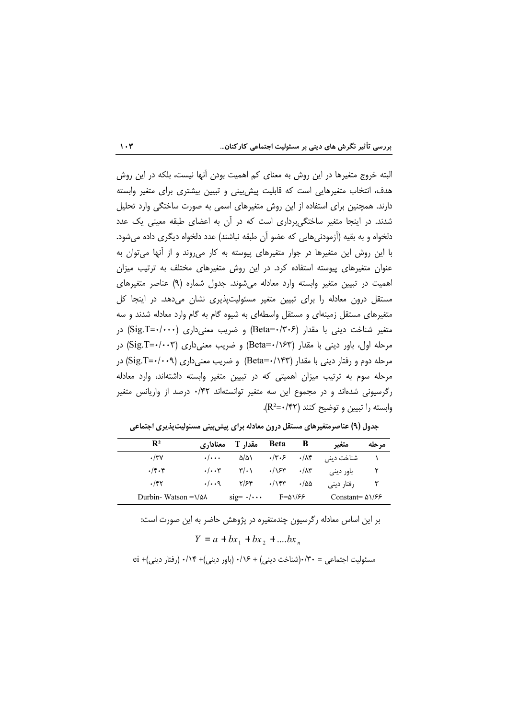البته خروج متغیرها در این روش به معنای کم اهمیت بودن آنها نیست، بلکه در این روش هدف، انتخاب متغیرهایی است که قابلیت پیش بینی و تبیین بیشتری برای متغیر وابسته دارند. همچنین برای استفاده از این روش متغیرهای اسمی به صورت ساختگی وارد تحلیل شدند. در اینجا متغیر ساختگی برداری است که در آن به اعضای طبقه معینی یک عدد دلخواه و به بقیه (أزمودنیهایی که عضو أن طبقه نباشند) عدد دلخواه دیگری داده میشود. با این روش این متغیرها در جوار متغیرهای پیوسته به کار می روند و از آنها می توان به عنوان متغیرهای پیوسته استفاده کرد. در این روش متغیرهای مختلف به ترتیب میزان اهمیت در تبیین متغیر وابسته وارد معادله میشوند. جدول شماره (۹) عناصر متغیرهای مستقل درون معادله را برای تبیین متغیر مسئولیتپذیری نشان میدهد. در اینجا کل متغیرهای مستقل زمینهای و مستقل واسطهای به شیوه گام به گام وارد معادله شدند و سه متغیر شناخت دینی با مقدار (Beta=۰/۳۰۶) و ضریب معنیداری (Sig.T=۰/۰۰۰) در مرحله اول، باور دینی با مقدار (۱۶۳/۰۳Beta=۰/۱۶۳) و ضریب معنیداری (Sig.T=۰/۰۰۳) در مرحله دوم و رفتار دینی با مقدار (۱۴۳/۱۴۳) Beta=۰/۱۴۳) و ضریب معنیداری (Sig.T=۰/۰۰۹) در مرحله سوم به ترتیب میزان اهمیتی که در تبیین متغیر وابسته داشتهاند، وارد معادله رگرسیونی شدهاند و در مجموع این سه متغیر توانستهاند ۰/۴۲ درصد از واریانس متغیر وابسته را تبيين و توضيح كنند (R<sup>2</sup>=٠/۴۲).

| $\mathbf{R}^2$                    | معنادا, ی               | مقدا, T                       | <b>Beta</b>  | В                 | متغير                   | مرحله |
|-----------------------------------|-------------------------|-------------------------------|--------------|-------------------|-------------------------|-------|
| $\cdot$ /۳۷                       | $\cdot/\cdot\cdot\cdot$ | ۵/۵۱                          | ۰/۳۰۶ ۰/۸۴   |                   | شناخت دینی              |       |
| $.$ /۴۰۴                          | $\cdot/\cdot\cdot$ ۳    | $\mathbf{y} \cdot \mathbf{y}$ | $\cdot$ /۱۶۳ | $\cdot/\lambda$ ۳ | باور دینے ِ             |       |
| $\cdot$ /۴۲                       | $\cdot/\cdot\cdot$ ۹    | ۲/۶۴                          | $\cdot$ /۱۴۳ | $\cdot$ /55       | رفتار ديني              |       |
| Durbin-Watson $=\frac{1}{\Delta}$ |                         | $sig=$ $\cdot/\cdots$         | £۱/۶۶ F=۵    |                   | Constant= $\Delta$ 1/۶۶ |       |

جدول (۹) عناصرمتغیرهای مستقل درون معادله برای پیش بینی مسئولیتپذیری اجتماعی

بر این اساس معادله رگرسیون چندمتغیره در پژوهش حاضر به این صورت است:

 $Y = a + bx_1 + bx_2 + \dots bx_n$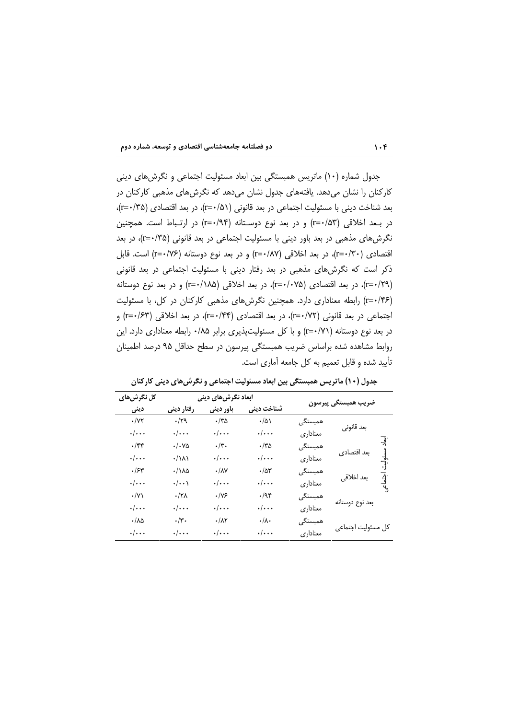جدول شماره (۱۰) ماتریس همبستگی بین ابعاد مسئولیت اجتماعی و نگرشهای دینی کارکنان را نشان میدهد. یافتههای جدول نشان میدهد که نگرشهای مذهبی کارکنان در بعد شناخت دینی با مسئولیت اجتماعی در بعد قانونی (۱۵/ +=۲)، در بعد اقتصادی (۲۵/+=۲)، در بـعد اخلاقی (r=۰/۵۳) و در بعد نوع دوسـتانه (r=۰/۹۴) در ارتـباط است. همچنین نگرشهای مذهبی در بعد باور دینی با مسئولیت اجتماعی در بعد قانونی (۲۵+-r)، در بعد اقتصادی (۲۰'+r=)، در بعد اخلاقی (۲۸۷'+r=) و در بعد نوع دوستانه (۲۶/+r=) است. قابل ذکر است که نگرشهای مذهبی در بعد رفتار دینی با مسئولیت اجتماعی در بعد قانونی (r=٠/٢٩)، در بعد اقتصادی (r=٠/٠٧۵)، در بعد اخلاقی (r=٠/١٨۵) و در بعد نوع دوستانه (r=٠/۴۶) رابطه معناداری دارد. همچنین نگرشهای مذهبی کارکنان در کل، با مسئولیت اجتماعی در بعد قانونی (۲/ ۲-۲)، در بعد اقتصادی (۲۴/ ۲=۲)، در بعد اخلاقی (۲=۰/۶۳) و در بعد نوع دوستانه (r=٠/٧١) و با كل مسئوليت يذيري برابر ٠/٨۵ رابطه معناداري دارد. اين روابط مشاهده شده براساس ضریب همبستگی پیرسون در سطح حداقل ۹۵ درصد اطمینان تأييد شده و قابل تعميم به كل جامعه آماري است.

| کل نگرشهای         | ابعاد نگرش های دینی  |                         |                        |           |                     |        |
|--------------------|----------------------|-------------------------|------------------------|-----------|---------------------|--------|
| دينى               | رفتار دينى           | باور دینی               | شناخت دین <i>ی</i>     |           | ضريب همبستگي پيرسون |        |
| $\cdot$ /۷۲        | $\cdot/\gamma$ ٩     | ۳۵۰/۰                   | $\cdot/\Delta$         | همبستگے،  |                     |        |
| $\cdot/\cdot\cdot$ | $\cdot/\cdot\cdot$   | $\cdot/\cdot\cdot$      | $\cdot/\cdot\cdot$     | معناداري  | بعد قانونى          |        |
| $\cdot$ /۴۴        | ۰/۰۷۵                | $\cdot/\mathbf{r}$ .    | $\cdot$ /۳۵            | همبستگے ، |                     | أيناد  |
| $\cdot/\cdot\cdot$ | ۰/۱۸۱                | $\cdot/\cdot\cdot$      | $\cdot/\cdot\cdot$     | معناداري  | بعد اقتصادي         | سئوليت |
| ۰/۶۳               | ۱۸۵۰/۰               | $\cdot/\lambda\Upsilon$ | $\cdot/\Delta\Upsilon$ | همبستگے ِ |                     |        |
| $\cdot/\cdot\cdot$ | $\cdot/\cdot\cdot$   | $\cdot/\cdot\cdot$      | $\cdot/\cdot\cdot$     | معناداري  | بعد اخلاقي<br>      |        |
| $\cdot/\Upsilon$   | ۰/۲۸                 | $\cdot/\gamma$ ۶        | $\cdot$ /95            | همبستگے , |                     |        |
| $\cdot/\cdot\cdot$ | $\cdot/\cdot\cdot$   | $\cdot/\cdot\cdot$      | $\cdot/\cdot\cdot$     | معناداري  | بعد نوع دوستانه     |        |
| ۰/۸۵               | $\cdot/\mathbf{y}$ . | $\cdot/\lambda$ ٢       | $\cdot/\lambda \cdot$  | همبستگے ِ |                     |        |
| $\cdot/\cdot\cdot$ | $\cdot/\cdot\cdot$   | $\cdot/\cdot\cdot$      | $\cdot/\cdot\cdot$     | معناداري  | كل مسئوليت اجتماعي  |        |

جدول (۱۰) ماتریس همبستگی بین ابعاد مسئولیت اجتماعی و نگرش های دینی کارکنان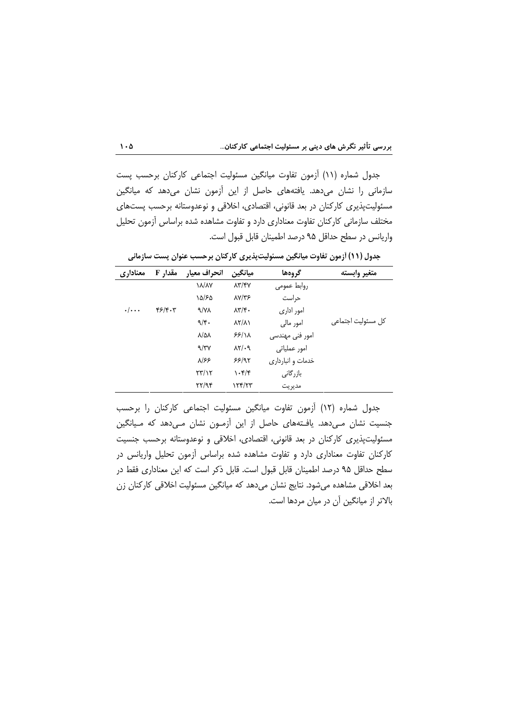جدول شماره (١١) أزمون تفاوت ميانگين مسئوليت اجتماعي كاركنان برحسب پست سازمانی را نشان میدهد. یافتههای حاصل از این آزمون نشان میدهد که میانگین مسئولیتپذیری کارکنان در بعد قانونی، اقتصادی، اخلاقی و نوعدوستانه برحسب پستهای مختلف سازمانی کارکنان تفاوت معناداری دارد و تفاوت مشاهده شده براساس آزمون تحلیل واریانس در سطح حداقل ۹۵ درصد اطمینان قابل قبول است.

| معناداري           | مقدار F | انحراف معيار                      | ميانگين                           | گروهها            | متغير وابسته       |
|--------------------|---------|-----------------------------------|-----------------------------------|-------------------|--------------------|
|                    |         | <b><i>\A/AY</i></b>               | $\lambda \Upsilon / \Upsilon V$   | روابط عمومى       |                    |
|                    |         | ۱۵/۶۵                             | $\lambda V/\tau$ ۶                | حراست             |                    |
| $\cdot/\cdot\cdot$ | f5/f.7  | $\gamma/\gamma\lambda$            | $\lambda \mathbf{y}/\mathbf{y}$ . | امور اداری        |                    |
|                    |         | 9/5.                              | $\lambda Y/\lambda Y$             | امور مالی         | کل مسئولیت اجتماعی |
|                    |         | $\lambda/\Delta\lambda$           | 55/11                             | امور فنی مهندسی   |                    |
|                    |         | 9/7V                              | $XY$ .                            | امور عملیاتی      |                    |
|                    |         | $\lambda$ /۶۶                     | 55/91                             | خدمات و انبارداری |                    |
|                    |         | $\mathsf{Y}\mathsf{Y}/\mathsf{Y}$ | $\cdot$ ۴/۴                       | بازرگانی          |                    |
|                    |         | YY/9f                             | $\frac{1}{\sqrt{2}}$              | مديريت            |                    |

جدول (١١) آزمون تفاوت میانگین مسئولیتپذیری کارکنان برحسب عنوان پست سازمانی

جدول شماره (١٢) أزمون تفاوت ميانگين مسئوليت اجتماعي كاركنان را برحسب جنسیت نشان مےدهد. یافـتههای حاصل از این آزمـون نشان مـیدهد که مـیانگین مسئولیتپذیری کارکنان در بعد قانونی، اقتصادی، اخلاقی و نوعدوستانه برحسب جنسیت کارکنان تفاوت معناداری دارد و تفاوت مشاهده شده براساس آزمون تحلیل واریانس در سطح حداقل ۹۵ درصد اطمینان قابل قبول است. قابل ذکر است که این معناداری فقط در بعد اخلاقی مشاهده میشود. نتایج نشان میدهد که میانگین مسئولیت اخلاقی کارکنان زن بالاتر از میانگین آن در میان مردها است.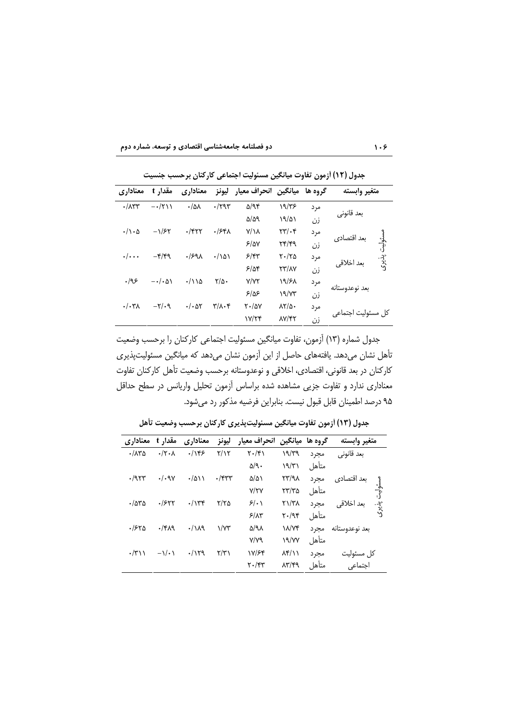دو فصلنامه جامعهشناسی اقتصادی و توسعه، شماره دوم

| معناداری                 | مقدار t                        | معناداري              | ليونز                                    | ميانگين انحراف معيار |                                       | گروه ها | متغير وابسته               |
|--------------------------|--------------------------------|-----------------------|------------------------------------------|----------------------|---------------------------------------|---------|----------------------------|
| $\cdot/\lambda$ ۳۳       | $-\cdot/\tau$                  | $\cdot/\omega\lambda$ | $\cdot$ /۲۹۳                             | $\Delta$ /94         | ۱۹/۳۶                                 | مرد     |                            |
|                          |                                |                       |                                          | $\Delta/\Delta$ 9    | 19/21                                 | زن      | بعد قانوني                 |
| $\cdot/\cdot \Delta$     | $-\frac{1}{5}$                 | $\cdot$ /۴۲۲          | .754                                     | $Y/\lambda$          | $\mathsf{Y}\mathsf{Y}/\mathsf{Y}$     | مرد     | ىعد اقتصادى                |
|                          |                                |                       |                                          | 5/8Y                 | 44/49                                 | زن      | مسئوليت                    |
| $\cdot/\cdot\cdot\cdot$  | $-\mathfrak{r}/\mathfrak{r}$ ۹ | .1991                 | $\cdot/\Delta$                           | 5/57                 | $Y \cdot / Y \Delta$                  | مرد     | ېدنې<br>پدنې<br>بعد اخلاقى |
|                          |                                |                       |                                          | 5/88                 | <b>٢٣/٨٧</b>                          | زن      |                            |
| .195                     | $-\cdot/\cdot\Delta$           | $\cdot$ /114          | $\frac{1}{2}$                            | <b>Y/YY</b>          | 1٩/۶٨                                 | مرد     |                            |
|                          |                                |                       |                                          | ۶۱۵۶                 | ۱۹/۷۳                                 | زن      | بعد نوعدوستانه             |
| $\cdot/\cdot \mathsf{Y}$ | $-\tau/\cdot$ 9                | $\cdot/\cdot$ at      | $\mathbf{r}/\mathbf{r} \cdot \mathbf{r}$ | $Y - \Delta V$       | $\lambda Y/\Delta$ .                  | مرد     |                            |
|                          |                                |                       |                                          | Y/Y                  | $\lambda V/\mathfrak{r} \mathfrak{r}$ | زن      | کل مسئولیت اجتماع          |

حدول (١٢) أزمون تفاوت مبانگين مسئوليت احتماعي كاركنان برجست جنسيت

جدول شماره (١٣) آزمون، تفاوت ميانگين مسئوليت اجتماعي كاركنان را برحسب وضعيت تأهل نشان میدهد. یافتههای حاصل از این آزمون نشان میدهد که میانگین مسئولیتپذیری کارکنان در بعد قانونی، اقتصادی، اخلاقی و نوعدوستانه برحسب وضعیت تأهل کارکنان تفاوت معناداری ندارد و تفاوت جزیی مشاهده شده براساس آزمون تحلیل واریانس در سطح حداقل ۹۵ درصد اطمینان قابل قبول نیست. بنابراین فرضیه مذکور رد میشود.

جدول (١٣) أزمون تفاوت ميانگين مسئوليتپذيري كاركنان برحسب وضعيت تأهل

| معناداري               | مقدار t            | معناداري     | ليونز                   | انحراف معيار                  | گروه ها میانگین             |       | متغير وابسته            |
|------------------------|--------------------|--------------|-------------------------|-------------------------------|-----------------------------|-------|-------------------------|
| $\cdot$ / $\Lambda$ ۳۵ | $\cdot$ /۲ $\cdot$ | .195         | Y/Y                     | $\mathbf{Y} \cdot \mathbf{X}$ | 19/79                       | مجرد  | بعد قانونی              |
|                        |                    |              |                         | $\Delta/\gamma$ .             | 19/71                       | متأهل |                         |
| .795                   | ./.9V              | $\cdot$ /۵۱۱ | $\cdot$ /۴۳۳            | $\Delta/\Delta$               | $XY/4\lambda$               | مجرد  | بعد اقتصادي             |
|                        |                    |              |                         | Y/YY                          | $\tau\tau/\tau\omega$       | متأهل | $\vec{r}$               |
| $\cdot$ /550           | .1557              | .714         | ۲/۲۵                    | 5/1                           | $Y\Upsilon/\Upsilon\Lambda$ | مجرد  | ېدنې<br>ک<br>بعد اخلاقى |
|                        |                    |              |                         | $5/\lambda$ ۳                 | $Y - 99$                    | متأهل |                         |
| .1580                  | $.$ /۴۸۹           | .119         | $\sqrt{x}$              | ۵/۹۸                          | <b><i>IN/YF</i></b>         | مجرد  | بعد نوعدوستانه          |
|                        |                    |              |                         | Y/Y9                          | 19/YY                       | متأهل |                         |
| $\cdot$ /۳۱۱           | $-\sqrt{\cdot}$    | .1179        | $\mathsf{Y}/\mathsf{Y}$ | 17/۶۴                         | $\lambda$ ۴/۱۱              | مجرد  | كل مسئوليت              |
|                        |                    |              |                         | $\mathbf{Y} \cdot \mathbf{X}$ | $\lambda r/rq$              | متأهل | اجتماعى                 |

 $1.9$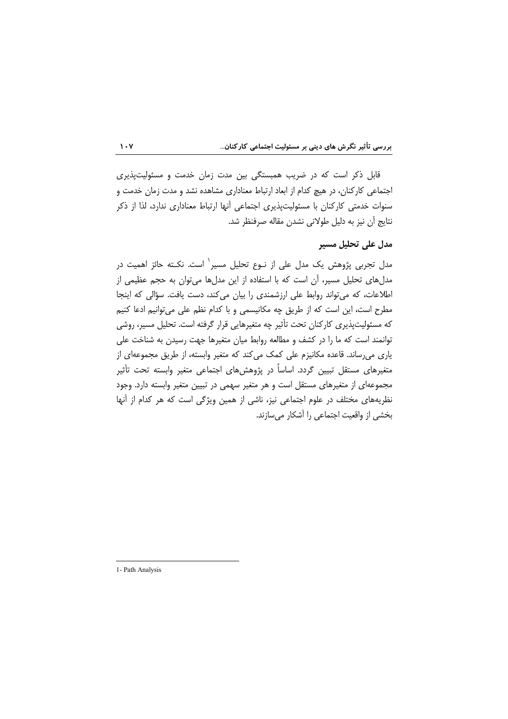قابل ذکر است که در ضریب همبستگی بین مدت زمان خدمت و مسئولیتپذیری اجتماعی کارکنان، در هیچ کدام از ابعاد ارتباط معناداری مشاهده نشد و مدت زمان خدمت و سنوات خدمتی کارکنان با مسئولیتپذیری اجتماعی آنها ارتباط معناداری ندارد، لذا از ذکر نتايج أن نيز به دليل طولاني نشدن مقاله صرفنظر شد.

## مدل على تحليل مسير

مدل تجربی پژوهش یک مدل علی از نـوع تحلیل مسیر` است. نکـته حائز اهمیت در مدلهای تحلیل مسیر، آن است که با استفاده از این مدلها می توان به حجم عظیمی از اطلاعات، که میتواند روابط علی ارزشمندی را بیان می کند، دست یافت. سؤالی که اینجا مطرح است، این است که از طریق چه مکانیسمی و با کدام نظم علی میتوانیم ادعا کنیم که مسئولیتیذیری کارکنان تحت تأثیر چه متغیرهایی قرار گرفته است. تحلیل مسیر، روشی توانمند است که ما را در کشف و مطالعه روابط میان متغیرها جهت رسیدن به شناخت علی یاری می رساند. قاعده مکانیزم علی کمک می کند که متغیر وابسته، از طریق مجموعهای از متغیرهای مستقل تبیین گردد. اساساً در پژوهش های اجتماعی متغیر وابسته تحت تأثیر مجموعهای از متغیرهای مستقل است و هر متغیر سهمی در تبیین متغیر وابسته دارد. وجود نظریههای مختلف در علوم اجتماعی نیز، ناشی از همین ویژگی است که هر کدام از آنها بخشی از واقعیت اجتماعی را آشکار میسازند.

 $\mathbf{1} \cdot \mathbf{Y}$ 

1- Path Analysis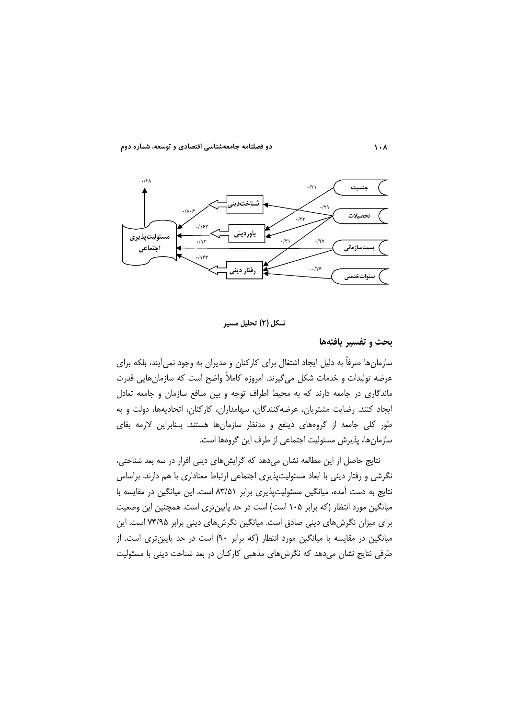



#### شکل (۲) تحلیل مسیر

### بحث و تفسير يافتهها

سازمانها صرفاً به دلیل ایجاد اشتغال برای کارکنان و مدیران به وجود نمی[یند، بلکه برای عرضه توليدات و خدمات شكل مي گيرند. امروزه كاملاً واضح است كه سازمان هايي قدرت ماندگاری در جامعه دارند که به محیط اطراف توجه و بین منافع سازمان و جامعه تعادل ایجاد کنند. رضایت مشتریان، عرضه کنندگان، سهامداران، کارکنان، اتحادیهها، دولت و به طور کلی جامعه از گروههای ذینفع و مدنظر سازمانها هستند. بـنابراین لازمه بقای سازمانها، پذیرش مسئولیت اجتماعی از طرف این گروهها است.

نتایج حاصل از این مطالعه نشان میدهد که گرایشهای دینی افرار در سه بعد شناختی، نگرشی و رفتار دینی با ابعاد مسئولیتپذیری اجتماعی ارتباط معناداری با هم دارند. براساس نتایج به دست آمده، میانگین مسئولیتپذیری برابر ۸۳/۵۱ است. این میانگین در مقایسه با میانگین مورد انتظار (که برابر ۱۰۵ است) است در حد پایینتری است. همچنین این وضعیت برای میزان نگرش های دینی صادق است. میانگین نگرش های دینی برابر ۷۴/۹۵ است. این میانگین در مقایسه با میانگین مورد انتظار (که برابر ۹۰) است در حد پایین تری است. از طرفی نتایج نشان میدهد که نگرشهای مذهبی کارکنان در بعد شناخت دینی با مسئولیت

 $\lambda \cdot \lambda$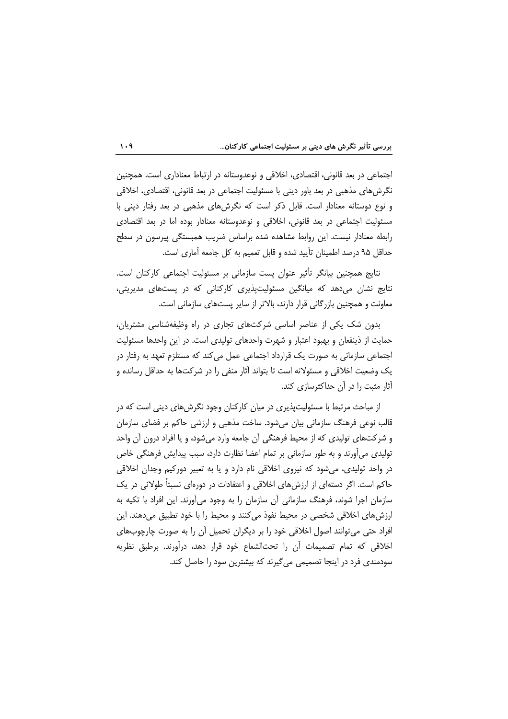اجتماعی در بعد قانونی، اقتصادی، اخلاقی و نوعدوستانه در ارتباط معناداری است. همچنین نگرشهای مذهبی در بعد باور دینی با مسئولیت اجتماعی در بعد قانونی، اقتصادی، اخلاقی و نوع دوستانه معنادار است. قابل ذکر است که نگرشهای مذهبی در بعد رفتار دینی با مسئولیت اجتماعی در بعد قانونی، اخلاقی و نوعدوستانه معنادار بوده اما در بعد اقتصادی رابطه معنادار نیست. این روابط مشاهده شده براساس ضریب همبستگی پیرسون در سطح حداقل ۹۵ درصد اطمینان تأیید شده و قابل تعمیم به کل جامعه آماری است.

نتایج همچنین بیانگر تأثیر عنوان پست سازمانی بر مسئولیت اجتماعی کارکنان است. نتایج نشان میدهد که میانگین مسئولیتپذیری کارکنانی که در پستهای مدیریتی، معاونت و همچنین بازرگانی قرار دارند، بالاتر از سایر پستهای سازمانی است.

بدون شک یکی از عناصر اساسی شرکتهای تجاری در راه وظیفهشناسی مشتریان، حمایت از ذینفعان و بهبود اعتبار و شهرت واحدهای تولیدی است. در این واحدها مسئولیت اجتماعی سازمانی به صورت یک قرارداد اجتماعی عمل می کند که مستلزم تعهد به رفتار در یک وضعیت اخلاقی و مسئولانه است تا بتواند آثار منفی را در شرکتها به حداقل رسانده و آثار مثبت را در آن حداکثرسازی کند.

از مباحث مرتبط با مسئولیتپذیری در میان کارکنان وجود نگرش های دینی است که در قالب نوعی فرهنگ سازمانی بیان میشود. ساخت مذهبی و ارزشی حاکم بر فضای سازمان و شركتهاى توليدى كه از محيط فرهنگى آن جامعه وارد مى شود، و يا افراد درون آن واحد تولیدی می آورند و به طور سازمانی بر تمام اعضا نظارت دارد، سبب پیدایش فرهنگی خاص در واحد تولیدی، میشود که نیروی اخلاقی نام دارد و یا به تعبیر دورکیم وجدان اخلاقی حاکم است. اگر دستهای از ارزش های اخلاقی و اعتقادات در دورهای نسبتاً طولانی در یک سازمان اجرا شوند، فرهنگ سازمانی آن سازمان را به وجود میآورند. این افراد با تکیه به ارزشهای اخلاقی شخصی در محیط نفوذ می کنند و محیط را با خود تطبیق میدهند. این افراد حتی می توانند اصول اخلاقی خود را بر دیگران تحمیل آن را به صورت چارچوبهای اخلاقی که تمام تصمیمات آن را تحتالشعاع خود قرار دهد، درآورند. برطبق نظریه سودمندی فرد در اینجا تصمیمی می گیرند که بیشترین سود را حاصل کند.

 $1 - 9$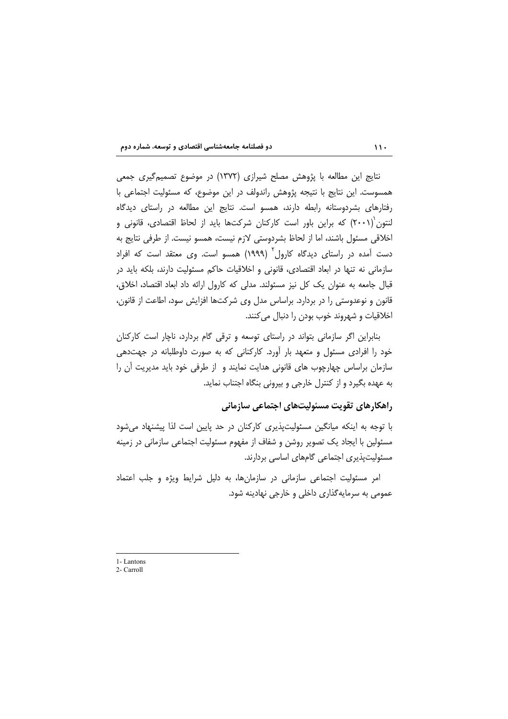نتايج اين مطالعه با پژوهش مصلح شيرازي (١٣٧٢) در موضوع تصميم گيري جمعي همسوست. این نتایج با نتیجه پژوهش راندولف در این موضوع، که مسئولیت اجتماعی با رفتارهای بشردوستانه رابطه دارند، همسو است. نتایج این مطالعه در راستای دیدگاه لنتون (۲۰۰۱) که براین باور است کارکنان شرکتها باید از لحاظ اقتصادی، قانونی و اخلاقي مسئول باشند، اما از لحاظ بشردوستي لازم نيست، همسو نيست. از طرفي نتايج به دست آمده در راستای دیدگاه کارول<sup>۲</sup> (۱۹۹۹) همسو است. وی معتقد است که افراد سازمانی نه تنها در ابعاد اقتصادی، قانونی و اخلاقیات حاکم مسئولیت دارند، بلکه باید در قبال جامعه به عنوان یک کل نیز مسئولند. مدلی که کارول ارائه داد ابعاد اقتصاد، اخلاق، قانون و نوعدوستی را در بردارد. براساس مدل وی شرکتها افزایش سود، اطاعت از قانون، اخلاقيات و شهروند خوب بودن را دنبال مي كنند.

بنابراین اگر سازمانی بتواند در راستای توسعه و ترقی گام بردارد، ناچار است کارکنان خود را افرادی مسئول و متعهد بار آورد. کارکنانی که به صورت داوطلبانه در جهتدهی سازمان براساس چهارچوب های قانونی هدایت نمایند و از طرفی خود باید مدیریت آن را به عهده بگیرد و از کنترل خارجی و بیرونی بنگاه اجتناب نماید.

### راهکارهای تقویت مسئولیتهای اجتماعی سازمانی

با توجه به اینکه میانگین مسئولیتپذیری کارکنان در حد پایین است لذا پیشنهاد میشود مسئولین با ایجاد یک تصویر روشن و شفاف از مفهوم مسئولیت اجتماعی سازمانی در زمینه مسئولیتیذیری اجتماعی گامهای اساسی بردارند.

امر مسئولیت اجتماعی سازمانی در سازمانها، به دلیل شرایط ویژه و جلب اعتماد عمومي به سرمايه گذاري داخلي و خارجي نهادينه شود.

1-Lantons

 $2$ -Carroll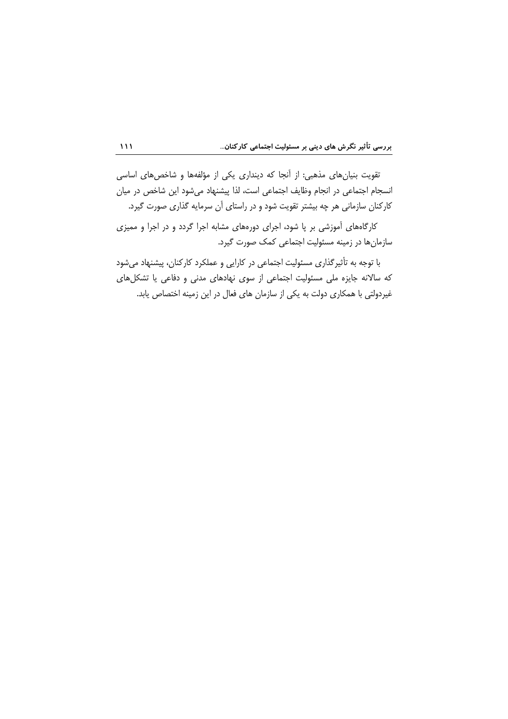تقویت بنیانهای مذهبی: از آنجا که دینداری یکی از مؤلفهها و شاخصهای اساسی انسجام اجتماعی در انجام وظایف اجتماعی است، لذا پیشنهاد میشود این شاخص در میان کارکنان سازمانی هر چه بیشتر تقویت شود و در راستای آن سرمایه گذاری صورت گیرد.

کارگاههای آموزشی بر پا شود، اجرای دورههای مشابه اجرا گردد و در اجرا و ممیزی سازمانها در زمینه مسئولیت اجتماعی کمک صورت گیرد.

با توجه به تأثیرگذاری مسئولیت اجتماعی در کارایی و عملکرد کارکنان، پیشنهاد می شود که سالانه جایزه ملی مسئولیت اجتماعی از سوی نهادهای مدنی و دفاعی یا تشکلهای غیردولتی با همکاری دولت به یکی از سازمان های فعال در این زمینه اختصاص پابد.

 $\overline{111}$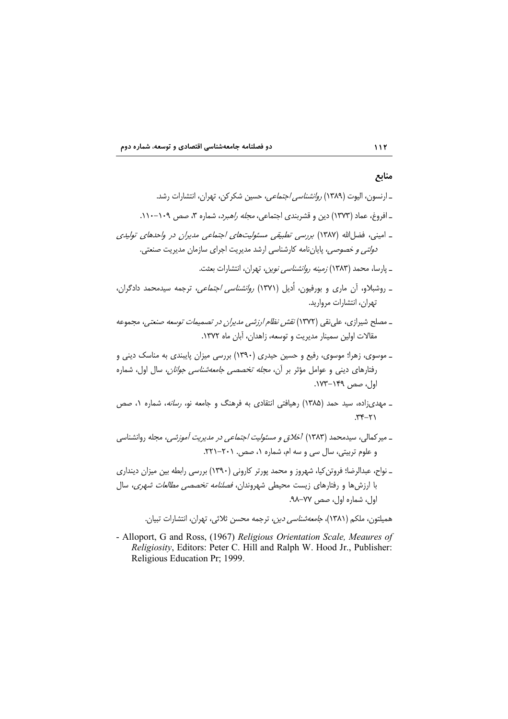# منابع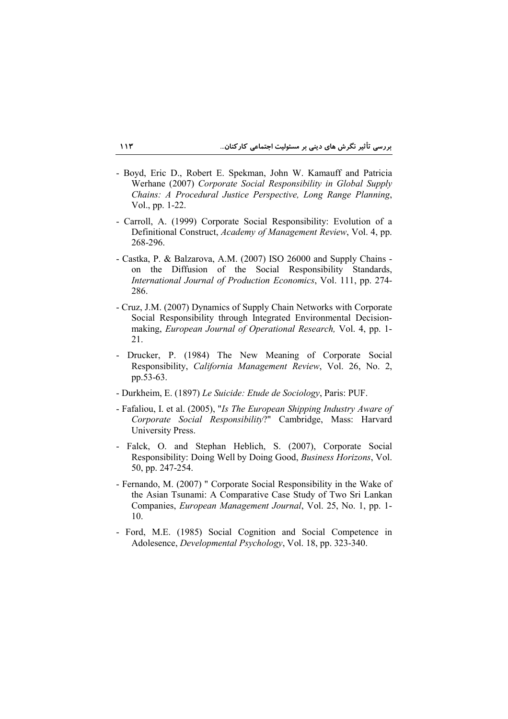- Boyd, Eric D., Robert E. Spekman, John W. Kamauff and Patricia Werhane (2007) Corporate Social Responsibility in Global Supply Chains: A Procedural Justice Perspective, Long Range Planning, Vol., pp. 1-22.
- Carroll, A. (1999) Corporate Social Responsibility: Evolution of a Definitional Construct, Academy of Management Review, Vol. 4, pp. 268-296.
- Castka, P. & Balzarova, A.M. (2007) ISO 26000 and Supply Chains on the Diffusion of the Social Responsibility Standards, International Journal of Production Economics, Vol. 111, pp. 274-286.
- Cruz, J.M. (2007) Dynamics of Supply Chain Networks with Corporate Social Responsibility through Integrated Environmental Decisionmaking, European Journal of Operational Research, Vol. 4, pp. 1-21.
- Drucker, P. (1984) The New Meaning of Corporate Social Responsibility, California Management Review, Vol. 26, No. 2, pp.53-63.
- Durkheim, E. (1897) Le Suicide: Etude de Sociology, Paris: PUF.
- Fafaliou, I. et al. (2005), "Is The European Shipping Industry Aware of Corporate Social Responsibility?" Cambridge, Mass: Harvard University Press.
- Falck, O. and Stephan Heblich, S. (2007), Corporate Social Responsibility: Doing Well by Doing Good, Business Horizons, Vol. 50, pp. 247-254.
- Fernando, M. (2007) " Corporate Social Responsibility in the Wake of the Asian Tsunami: A Comparative Case Study of Two Sri Lankan Companies, *European Management Journal*, Vol. 25, No. 1, pp. 1-10.
- Ford, M.E. (1985) Social Cognition and Social Competence in Adolesence, Developmental Psychology, Vol. 18, pp. 323-340.